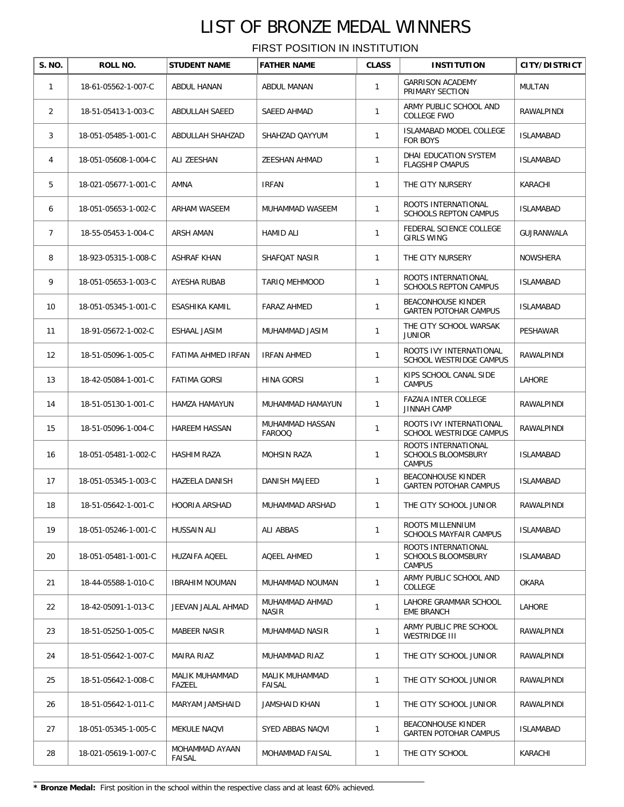FIRST POSITION IN INSTITUTION

| S. NO.         | ROLL NO.             | <b>STUDENT NAME</b>      | <b>FATHER NAME</b>               | <b>CLASS</b> | <b>INSTITUTION</b>                                                | CITY/DISTRICT    |
|----------------|----------------------|--------------------------|----------------------------------|--------------|-------------------------------------------------------------------|------------------|
| $\mathbf{1}$   | 18-61-05562-1-007-C  | ABDUL HANAN              | ABDUL MANAN                      | 1            | <b>GARRISON ACADEMY</b><br>PRIMARY SECTION                        | <b>MULTAN</b>    |
| 2              | 18-51-05413-1-003-C  | <b>ABDULLAH SAEED</b>    | SAEED AHMAD                      | 1            | ARMY PUBLIC SCHOOL AND<br><b>COLLEGE FWO</b>                      | RAWALPINDI       |
| 3              | 18-051-05485-1-001-C | ABDULLAH SHAHZAD         | SHAHZAD QAYYUM                   | $\mathbf{1}$ | <b>ISLAMABAD MODEL COLLEGE</b><br>FOR BOYS                        | <b>ISLAMABAD</b> |
| 4              | 18-051-05608-1-004-C | ALI ZEESHAN              | ZEESHAN AHMAD                    | $\mathbf{1}$ | DHAI EDUCATION SYSTEM<br><b>FLAGSHIP CMAPUS</b>                   | <b>ISLAMABAD</b> |
| 5              | 18-021-05677-1-001-C | AMNA                     | <b>IRFAN</b>                     | $\mathbf{1}$ | THE CITY NURSERY                                                  | KARACHI          |
| 6              | 18-051-05653-1-002-C | ARHAM WASEEM             | MUHAMMAD WASEEM                  | 1            | ROOTS INTERNATIONAL<br><b>SCHOOLS REPTON CAMPUS</b>               | <b>ISLAMABAD</b> |
| $\overline{7}$ | 18-55-05453-1-004-C  | ARSH AMAN                | <b>HAMID ALI</b>                 | $\mathbf{1}$ | FEDERAL SCIENCE COLLEGE<br><b>GIRLS WING</b>                      | GUJRANWALA       |
| 8              | 18-923-05315-1-008-C | ASHRAF KHAN              | <b>SHAFOAT NASIR</b>             | $\mathbf{1}$ | THE CITY NURSERY                                                  | <b>NOWSHERA</b>  |
| 9              | 18-051-05653-1-003-C | AYESHA RUBAB             | TARIO MEHMOOD                    | $\mathbf{1}$ | ROOTS INTERNATIONAL<br><b>SCHOOLS REPTON CAMPUS</b>               | <b>ISLAMABAD</b> |
| 10             | 18-051-05345-1-001-C | ESASHIKA KAMIL           | <b>FARAZ AHMED</b>               | 1            | <b>BEACONHOUSE KINDER</b><br><b>GARTEN POTOHAR CAMPUS</b>         | <b>ISLAMABAD</b> |
| 11             | 18-91-05672-1-002-C  | ESHAAL JASIM             | MUHAMMAD JASIM                   | 1            | THE CITY SCHOOL WARSAK<br><b>JUNIOR</b>                           | PESHAWAR         |
| 12             | 18-51-05096-1-005-C  | FATIMA AHMED IRFAN       | <b>IRFAN AHMED</b>               | 1            | ROOTS IVY INTERNATIONAL<br>SCHOOL WESTRIDGE CAMPUS                | RAWALPINDI       |
| 13             | 18-42-05084-1-001-C  | <b>FATIMA GORSI</b>      | HINA GORSI                       | 1            | KIPS SCHOOL CANAL SIDE<br><b>CAMPUS</b>                           | LAHORE           |
| 14             | 18-51-05130-1-001-C  | <b>HAMZA HAMAYUN</b>     | MUHAMMAD HAMAYUN                 | 1            | <b>FAZAIA INTER COLLEGE</b><br><b>JINNAH CAMP</b>                 | RAWALPINDI       |
| 15             | 18-51-05096-1-004-C  | <b>HAREEM HASSAN</b>     | MUHAMMAD HASSAN<br><b>FAROOQ</b> | 1            | ROOTS IVY INTERNATIONAL<br>SCHOOL WESTRIDGE CAMPUS                | RAWALPINDI       |
| 16             | 18-051-05481-1-002-C | <b>HASHIM RAZA</b>       | <b>MOHSIN RAZA</b>               | $\mathbf{1}$ | ROOTS INTERNATIONAL<br><b>SCHOOLS BLOOMSBURY</b><br><b>CAMPUS</b> | <b>ISLAMABAD</b> |
| 17             | 18-051-05345-1-003-C | HAZEELA DANISH           | DANISH MAJEED                    | $\mathbf{1}$ | <b>BEACONHOUSE KINDER</b><br><b>GARTEN POTOHAR CAMPUS</b>         | <b>ISLAMABAD</b> |
| 18             | 18-51-05642-1-001-C  | HOORIA ARSHAD            | MUHAMMAD ARSHAD                  | 1            | THE CITY SCHOOL JUNIOR                                            | RAWALPINDI       |
| 19             | 18-051-05246-1-001-C | <b>HUSSAIN ALI</b>       | ALI ABBAS                        | $\mathbf{1}$ | ROOTS MILLENNIUM<br><b>SCHOOLS MAYFAIR CAMPUS</b>                 | <b>ISLAMABAD</b> |
| 20             | 18-051-05481-1-001-C | HUZAIFA AQEEL            | AQEEL AHMED                      | $\mathbf{1}$ | ROOTS INTERNATIONAL<br><b>SCHOOLS BLOOMSBURY</b><br><b>CAMPUS</b> | ISLAMABAD        |
| 21             | 18-44-05588-1-010-C  | <b>IBRAHIM NOUMAN</b>    | MUHAMMAD NOUMAN                  | $\mathbf{1}$ | ARMY PUBLIC SCHOOL AND<br>COLLEGE                                 | <b>OKARA</b>     |
| 22             | 18-42-05091-1-013-C  | JEEVAN JALAL AHMAD       | MUHAMMAD AHMAD<br>NASIR          | 1            | LAHORE GRAMMAR SCHOOL<br>EME BRANCH                               | LAHORE           |
| 23             | 18-51-05250-1-005-C  | MABEER NASIR             | MUHAMMAD NASIR                   | $\mathbf{1}$ | ARMY PUBLIC PRE SCHOOL<br>WESTRIDGE III                           | RAWALPINDI       |
| 24             | 18-51-05642-1-007-C  | MAIRA RIAZ               | MUHAMMAD RIAZ                    | $\mathbf{1}$ | THE CITY SCHOOL JUNIOR                                            | RAWALPINDI       |
| 25             | 18-51-05642-1-008-C  | MALIK MUHAMMAD<br>FAZEEL | MALIK MUHAMMAD<br>FAISAL         | $\mathbf{1}$ | THE CITY SCHOOL JUNIOR                                            | RAWALPINDI       |
| 26             | 18-51-05642-1-011-C  | MARYAM JAMSHAID          | JAMSHAID KHAN                    | $\mathbf{1}$ | THE CITY SCHOOL JUNIOR                                            | RAWALPINDI       |
| 27             | 18-051-05345-1-005-C | MEKULE NAQVI             | SYED ABBAS NAQVI                 | $\mathbf{1}$ | <b>BEACONHOUSE KINDER</b><br><b>GARTEN POTOHAR CAMPUS</b>         | <b>ISLAMABAD</b> |
| 28             | 18-021-05619-1-007-C | MOHAMMAD AYAAN<br>FAISAL | MOHAMMAD FAISAL                  | 1            | THE CITY SCHOOL                                                   | KARACHI          |

**\* Bronze Medal:** First position in the school within the respective class and at least 60% achieved.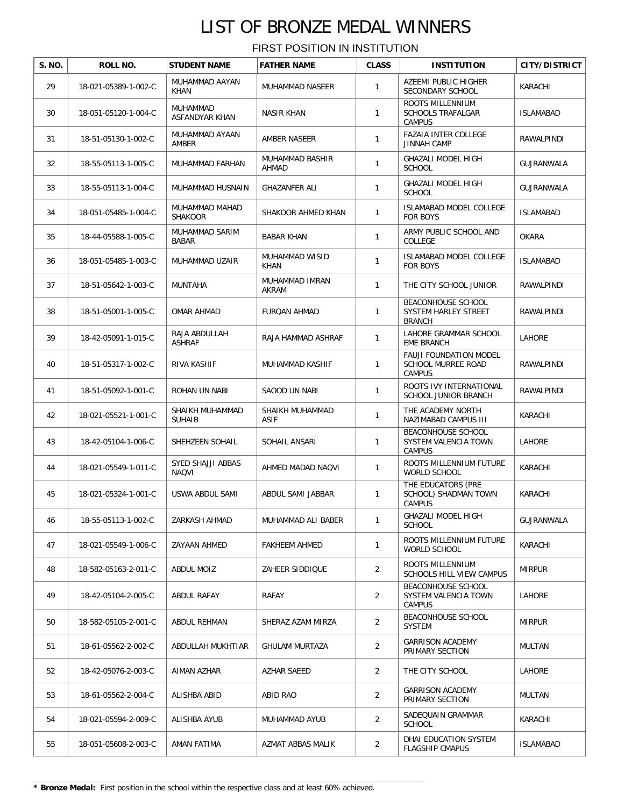| S. NO. | ROLL NO.             | <b>STUDENT NAME</b>                      | <b>FATHER NAME</b>             | <b>CLASS</b>   | <b>INSTITUTION</b>                                            | CITY/DISTRICT     |
|--------|----------------------|------------------------------------------|--------------------------------|----------------|---------------------------------------------------------------|-------------------|
| 29     | 18-021-05389-1-002-C | MUHAMMAD AAYAN<br>KHAN                   | MUHAMMAD NASEER                | 1              | AZEEMI PUBLIC HIGHER<br>SECONDARY SCHOOL                      | KARACHI           |
| 30     | 18-051-05120-1-004-C | MUHAMMAD<br>ASFANDYAR KHAN               | <b>NASIR KHAN</b>              | $\mathbf{1}$   | ROOTS MILLENNIUM<br><b>SCHOOLS TRAFALGAR</b><br><b>CAMPUS</b> | <b>ISLAMABAD</b>  |
| 31     | 18-51-05130-1-002-C  | MUHAMMAD AYAAN<br><b>AMBER</b>           | AMBER NASEER                   | $\mathbf{1}$   | <b>FAZAIA INTER COLLEGE</b><br><b>JINNAH CAMP</b>             | RAWALPINDI        |
| 32     | 18-55-05113-1-005-C  | MUHAMMAD FARHAN                          | MUHAMMAD BASHIR<br>AHMAD       | $\mathbf{1}$   | GHAZALI MODEL HIGH<br><b>SCHOOL</b>                           | <b>GUJRANWALA</b> |
| 33     | 18-55-05113-1-004-C  | MUHAMMAD HUSNAIN                         | <b>GHAZANFER ALI</b>           | $\mathbf{1}$   | <b>GHAZALI MODEL HIGH</b><br><b>SCHOOL</b>                    | GUJRANWALA        |
| 34     | 18-051-05485-1-004-C | MUHAMMAD MAHAD<br><b>SHAKOOR</b>         | SHAKOOR AHMED KHAN             | $\mathbf{1}$   | <b>ISLAMABAD MODEL COLLEGE</b><br><b>FOR BOYS</b>             | <b>ISLAMABAD</b>  |
| 35     | 18-44-05588-1-005-C  | MUHAMMAD SARIM<br>BABAR                  | <b>BABAR KHAN</b>              | $\mathbf{1}$   | ARMY PUBLIC SCHOOL AND<br>COLLEGE                             | <b>OKARA</b>      |
| 36     | 18-051-05485-1-003-C | MUHAMMAD UZAIR                           | MUHAMMAD WISID<br><b>KHAN</b>  | 1              | <b>ISLAMABAD MODEL COLLEGE</b><br>FOR BOYS                    | <b>ISLAMABAD</b>  |
| 37     | 18-51-05642-1-003-C  | MUNTAHA                                  | MUHAMMAD IMRAN<br>AKRAM        | $\mathbf{1}$   | THE CITY SCHOOL JUNIOR                                        | RAWALPINDI        |
| 38     | 18-51-05001-1-005-C  | OMAR AHMAD                               | <b>FURQAN AHMAD</b>            | 1              | BEACONHOUSE SCHOOL<br>SYSTEM HARLEY STREET<br><b>BRANCH</b>   | RAWALPINDI        |
| 39     | 18-42-05091-1-015-C  | RAJA ABDULLAH<br><b>ASHRAF</b>           | RAJA HAMMAD ASHRAF             | $\mathbf{1}$   | LAHORE GRAMMAR SCHOOL<br><b>EME BRANCH</b>                    | LAHORE            |
| 40     | 18-51-05317-1-002-C  | RIVA KASHIF                              | MUHAMMAD KASHIF                | $\mathbf{1}$   | FAUJI FOUNDATION MODEL<br>SCHOOL MURREE ROAD<br><b>CAMPUS</b> | RAWALPINDI        |
| 41     | 18-51-05092-1-001-C  | ROHAN UN NABI                            | SAOOD UN NABI                  | $\mathbf{1}$   | ROOTS IVY INTERNATIONAL<br>SCHOOL JUNIOR BRANCH               | RAWALPINDI        |
| 42     | 18-021-05521-1-001-C | SHAIKH MUHAMMAD<br><b>SUHAIB</b>         | SHAIKH MUHAMMAD<br><b>ASIF</b> | 1              | THE ACADEMY NORTH<br>NAZIMABAD CAMPUS III                     | KARACHI           |
| 43     | 18-42-05104-1-006-C  | SHEHZEEN SOHAIL                          | SOHAIL ANSARI                  | $\mathbf{1}$   | BEACONHOUSE SCHOOL<br>SYSTEM VALENCIA TOWN<br><b>CAMPUS</b>   | LAHORE            |
| 44     | 18-021-05549-1-011-C | <b>SYED SHAJJI ABBAS</b><br><b>NAQVI</b> | AHMED MADAD NAQVI              | $\mathbf{1}$   | ROOTS MILLENNIUM FUTURE<br>WORLD SCHOOL                       | KARACHI           |
| 45     | 18-021-05324-1-001-C | USWA ABDUL SAMI                          | ABDUL SAMI JABBAR              | 1              | THE EDUCATORS (PRE<br>SCHOOL) SHADMAN TOWN<br><b>CAMPUS</b>   | KARACHI           |
| 46     | 18-55-05113-1-002-C  | ZARKASH AHMAD                            | MUHAMMAD ALI BABER             | $\mathbf{1}$   | GHAZALI MODEL HIGH<br><b>SCHOOL</b>                           | <b>GUJRANWALA</b> |
| 47     | 18-021-05549-1-006-C | ZAYAAN AHMED                             | <b>FAKHEEM AHMED</b>           | $\mathbf{1}$   | ROOTS MILLENNIUM FUTURE<br>WORLD SCHOOL                       | KARACHI           |
| 48     | 18-582-05163-2-011-C | ABDUL MOIZ                               | ZAHEER SIDDIQUE                | $\overline{2}$ | ROOTS MILLENNIUM<br>SCHOOLS HILL VIEW CAMPUS                  | <b>MIRPUR</b>     |
| 49     | 18-42-05104-2-005-C  | ABDUL RAFAY                              | RAFAY                          | $\overline{2}$ | BEACONHOUSE SCHOOL<br>SYSTEM VALENCIA TOWN<br>CAMPUS          | LAHORE            |
| 50     | 18-582-05105-2-001-C | ABDUL REHMAN                             | SHERAZ AZAM MIRZA              | $\overline{a}$ | BEACONHOUSE SCHOOL<br>SYSTEM                                  | <b>MIRPUR</b>     |
| 51     | 18-61-05562-2-002-C  | ABDULLAH MUKHTIAR                        | <b>GHULAM MURTAZA</b>          | $\overline{2}$ | <b>GARRISON ACADEMY</b><br>PRIMARY SECTION                    | MULTAN            |
| 52     | 18-42-05076-2-003-C  | AIMAN AZHAR                              | AZHAR SAEED                    | 2              | THE CITY SCHOOL                                               | LAHORE            |
| 53     | 18-61-05562-2-004-C  | ALISHBA ABID                             | ABID RAO                       | $\overline{a}$ | <b>GARRISON ACADEMY</b><br>PRIMARY SECTION                    | MULTAN            |
| 54     | 18-021-05594-2-009-C | ALISHBA AYUB                             | MUHAMMAD AYUB                  | $\overline{2}$ | SADEQUAIN GRAMMAR<br><b>SCHOOL</b>                            | KARACHI           |
| 55     | 18-051-05608-2-003-C | AMAN FATIMA                              | AZMAT ABBAS MALIK              | $\overline{2}$ | DHAI EDUCATION SYSTEM<br><b>FLAGSHIP CMAPUS</b>               | <b>ISLAMABAD</b>  |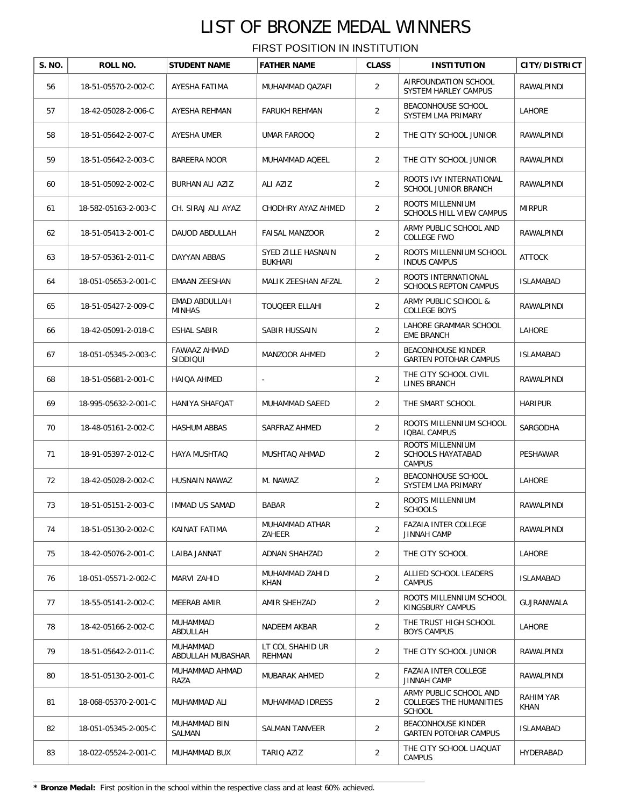FIRST POSITION IN INSTITUTION

| S. NO. | ROLL NO.             | <b>STUDENT NAME</b>             | <b>FATHER NAME</b>                   | <b>CLASS</b>   | <b>INSTITUTION</b>                                                 | <b>CITY/DISTRICT</b> |
|--------|----------------------|---------------------------------|--------------------------------------|----------------|--------------------------------------------------------------------|----------------------|
| 56     | 18-51-05570-2-002-C  | AYESHA FATIMA                   | MUHAMMAD QAZAFI                      | $\overline{a}$ | AIRFOUNDATION SCHOOL<br>SYSTEM HARLEY CAMPUS                       | RAWALPINDI           |
| 57     | 18-42-05028-2-006-C  | AYESHA REHMAN                   | <b>FARUKH REHMAN</b>                 | $\overline{2}$ | BEACONHOUSE SCHOOL<br>SYSTEM LMA PRIMARY                           | LAHORE               |
| 58     | 18-51-05642-2-007-C  | AYESHA UMER                     | UMAR FAROOQ                          | $\overline{a}$ | THE CITY SCHOOL JUNIOR                                             | RAWALPINDI           |
| 59     | 18-51-05642-2-003-C  | <b>BAREERA NOOR</b>             | MUHAMMAD AQEEL                       | $\overline{2}$ | THE CITY SCHOOL JUNIOR                                             | RAWALPINDI           |
| 60     | 18-51-05092-2-002-C  | BURHAN ALI AZIZ                 | ALI AZIZ                             | $\overline{2}$ | ROOTS IVY INTERNATIONAL<br>SCHOOL JUNIOR BRANCH                    | RAWALPINDI           |
| 61     | 18-582-05163-2-003-C | CH. SIRAJ ALI AYAZ              | CHODHRY AYAZ AHMED                   | $\overline{2}$ | ROOTS MILLENNIUM<br>SCHOOLS HILL VIEW CAMPUS                       | <b>MIRPUR</b>        |
| 62     | 18-51-05413-2-001-C  | DAUOD ABDULLAH                  | <b>FAISAL MANZOOR</b>                | $\overline{2}$ | ARMY PUBLIC SCHOOL AND<br>COLLEGE FWO                              | RAWALPINDI           |
| 63     | 18-57-05361-2-011-C  | DAYYAN ABBAS                    | SYED ZILLE HASNAIN<br><b>BUKHARI</b> | $\overline{2}$ | ROOTS MILLENNIUM SCHOOL<br><b>INDUS CAMPUS</b>                     | <b>ATTOCK</b>        |
| 64     | 18-051-05653-2-001-C | EMAAN ZEESHAN                   | MALIK ZEESHAN AFZAL                  | $\overline{2}$ | ROOTS INTERNATIONAL<br><b>SCHOOLS REPTON CAMPUS</b>                | <b>ISLAMABAD</b>     |
| 65     | 18-51-05427-2-009-C  | EMAD ABDULLAH<br><b>MINHAS</b>  | TOUQEER ELLAHI                       | $\overline{2}$ | ARMY PUBLIC SCHOOL &<br><b>COLLEGE BOYS</b>                        | RAWALPINDI           |
| 66     | 18-42-05091-2-018-C  | ESHAL SABIR                     | SABIR HUSSAIN                        | $\overline{c}$ | LAHORE GRAMMAR SCHOOL<br><b>EME BRANCH</b>                         | LAHORE               |
| 67     | 18-051-05345-2-003-C | <b>FAWAAZ AHMAD</b><br>SIDDIQUI | MANZOOR AHMED                        | $\overline{2}$ | <b>BEACONHOUSE KINDER</b><br><b>GARTEN POTOHAR CAMPUS</b>          | <b>ISLAMABAD</b>     |
| 68     | 18-51-05681-2-001-C  | HAIQA AHMED                     | $\overline{\phantom{a}}$             | $\overline{2}$ | THE CITY SCHOOL CIVIL<br>LINES BRANCH                              | RAWALPINDI           |
| 69     | 18-995-05632-2-001-C | HANIYA SHAFQAT                  | MUHAMMAD SAEED                       | $\overline{2}$ | THE SMART SCHOOL                                                   | <b>HARIPUR</b>       |
| 70     | 18-48-05161-2-002-C  | <b>HASHUM ABBAS</b>             | SARFRAZ AHMED                        | $\overline{2}$ | ROOTS MILLENNIUM SCHOOL<br><b>IQBAL CAMPUS</b>                     | SARGODHA             |
| 71     | 18-91-05397-2-012-C  | HAYA MUSHTAQ                    | MUSHTAQ AHMAD                        | 2              | ROOTS MILLENNIUM<br><b>SCHOOLS HAYATABAD</b><br><b>CAMPUS</b>      | PESHAWAR             |
| 72     | 18-42-05028-2-002-C  | HUSNAIN NAWAZ                   | M. NAWAZ                             | 2              | BEACONHOUSE SCHOOL<br>SYSTEM LMA PRIMARY                           | LAHORE               |
| 73     | 18-51-05151-2-003-C  | IMMAD US SAMAD                  | BABAR                                | $\overline{2}$ | ROOTS MILLENNIUM<br>SCHOOLS                                        | RAWALPINDI           |
| 74     | 18-51-05130-2-002-C  | KAINAT FATIMA                   | MUHAMMAD ATHAR<br>ZAHEER             | $\overline{2}$ | <b>FAZAIA INTER COLLEGE</b><br><b>JINNAH CAMP</b>                  | RAWALPINDI           |
| 75     | 18-42-05076-2-001-C  | LAIBA JANNAT                    | ADNAN SHAHZAD                        | $\overline{2}$ | THE CITY SCHOOL                                                    | LAHORE               |
| 76     | 18-051-05571-2-002-C | MARVI ZAHID                     | MUHAMMAD ZAHID<br>KHAN               | $\overline{2}$ | ALLIED SCHOOL LEADERS<br><b>CAMPUS</b>                             | <b>ISLAMABAD</b>     |
| 77     | 18-55-05141-2-002-C  | MEERAB AMIR                     | AMIR SHEHZAD                         | $\overline{2}$ | ROOTS MILLENNIUM SCHOOL<br>KINGSBURY CAMPUS                        | GUJRANWALA           |
| 78     | 18-42-05166-2-002-C  | MUHAMMAD<br>ABDULLAH            | NADEEM AKBAR                         | $\overline{2}$ | THE TRUST HIGH SCHOOL<br><b>BOYS CAMPUS</b>                        | LAHORE               |
| 79     | 18-51-05642-2-011-C  | MUHAMMAD<br>ABDULLAH MUBASHAR   | LT COL SHAHID UR<br>REHMAN           | $\overline{2}$ | THE CITY SCHOOL JUNIOR                                             | RAWALPINDI           |
| 80     | 18-51-05130-2-001-C  | MUHAMMAD AHMAD<br>RAZA          | MUBARAK AHMED                        | $\overline{2}$ | <b>FAZAIA INTER COLLEGE</b><br><b>JINNAH CAMP</b>                  | RAWALPINDI           |
| 81     | 18-068-05370-2-001-C | MUHAMMAD ALI                    | MUHAMMAD IDRESS                      | 2              | ARMY PUBLIC SCHOOL AND<br>COLLEGES THE HUMANITIES<br><b>SCHOOL</b> | RAHIM YAR<br>KHAN    |
| 82     | 18-051-05345-2-005-C | MUHAMMAD BIN<br>SALMAN          | SALMAN TANVEER                       | $\overline{a}$ | <b>BEACONHOUSE KINDER</b><br><b>GARTEN POTOHAR CAMPUS</b>          | <b>ISLAMABAD</b>     |
| 83     | 18-022-05524-2-001-C | MUHAMMAD BUX                    | TARIQ AZIZ                           | $\overline{2}$ | THE CITY SCHOOL LIAQUAT<br><b>CAMPUS</b>                           | HYDERABAD            |

**\* Bronze Medal:** First position in the school within the respective class and at least 60% achieved.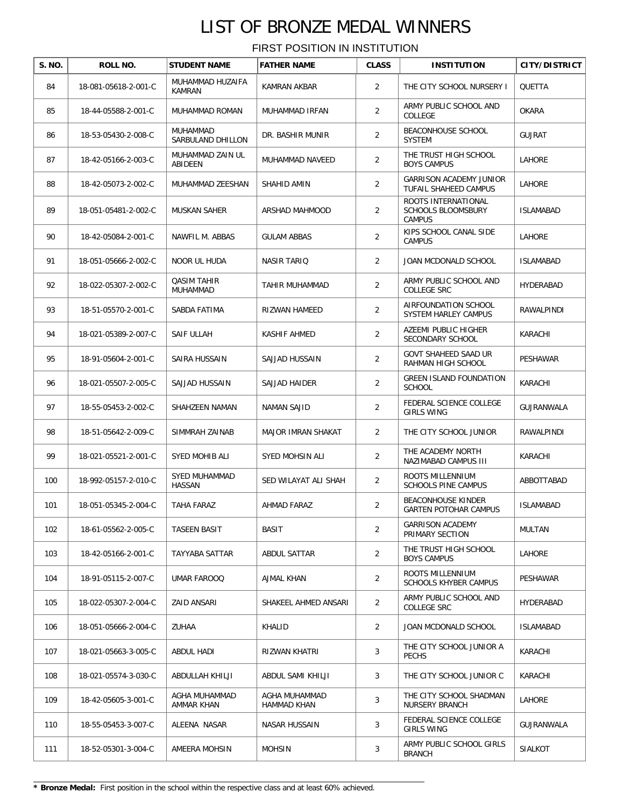| S. NO. | ROLL NO.             | <b>STUDENT NAME</b>               | <b>FATHER NAME</b>           | <b>CLASS</b>   | <b>INSTITUTION</b>                                                | <b>CITY/DISTRICT</b> |
|--------|----------------------|-----------------------------------|------------------------------|----------------|-------------------------------------------------------------------|----------------------|
| 84     | 18-081-05618-2-001-C | MUHAMMAD HUZAIFA<br><b>KAMRAN</b> | <b>KAMRAN AKBAR</b>          | 2              | THE CITY SCHOOL NURSERY I                                         | QUETTA               |
| 85     | 18-44-05588-2-001-C  | MUHAMMAD ROMAN                    | MUHAMMAD IRFAN               | 2              | ARMY PUBLIC SCHOOL AND<br>COLLEGE                                 | OKARA                |
| 86     | 18-53-05430-2-008-C  | MUHAMMAD<br>SARBULAND DHILLON     | DR. BASHIR MUNIR             | $\overline{2}$ | <b>BEACONHOUSE SCHOOL</b><br>SYSTEM                               | <b>GUJRAT</b>        |
| 87     | 18-42-05166-2-003-C  | MUHAMMAD ZAIN UL<br>ABIDEEN       | MUHAMMAD NAVEED              | $\overline{2}$ | THE TRUST HIGH SCHOOL<br><b>BOYS CAMPUS</b>                       | LAHORE               |
| 88     | 18-42-05073-2-002-C  | MUHAMMAD ZEESHAN                  | SHAHID AMIN                  | $\overline{2}$ | <b>GARRISON ACADEMY JUNIOR</b><br>TUFAIL SHAHEED CAMPUS           | LAHORE               |
| 89     | 18-051-05481-2-002-C | <b>MUSKAN SAHER</b>               | ARSHAD MAHMOOD               | 2              | ROOTS INTERNATIONAL<br><b>SCHOOLS BLOOMSBURY</b><br><b>CAMPUS</b> | <b>ISLAMABAD</b>     |
| 90     | 18-42-05084-2-001-C  | NAWFIL M. ABBAS                   | <b>GULAM ABBAS</b>           | 2              | KIPS SCHOOL CANAL SIDE<br><b>CAMPUS</b>                           | LAHORE               |
| 91     | 18-051-05666-2-002-C | NOOR UL HUDA                      | <b>NASIR TARIQ</b>           | 2              | JOAN MCDONALD SCHOOL                                              | <b>ISLAMABAD</b>     |
| 92     | 18-022-05307-2-002-C | <b>QASIM TAHIR</b><br>MUHAMMAD    | <b>TAHIR MUHAMMAD</b>        | 2              | ARMY PUBLIC SCHOOL AND<br><b>COLLEGE SRC</b>                      | HYDERABAD            |
| 93     | 18-51-05570-2-001-C  | SABDA FATIMA                      | RIZWAN HAMEED                | 2              | AIRFOUNDATION SCHOOL<br>SYSTEM HARLEY CAMPUS                      | RAWALPINDI           |
| 94     | 18-021-05389-2-007-C | SAIF ULLAH                        | KASHIF AHMED                 | 2              | AZEEMI PUBLIC HIGHER<br>SECONDARY SCHOOL                          | KARACHI              |
| 95     | 18-91-05604-2-001-C  | SAIRA HUSSAIN                     | SAJJAD HUSSAIN               | 2              | GOVT SHAHEED SAAD UR<br>RAHMAN HIGH SCHOOL                        | PESHAWAR             |
| 96     | 18-021-05507-2-005-C | SAJJAD HUSSAIN                    | SAJJAD HAIDER                | $\overline{2}$ | <b>GREEN ISLAND FOUNDATION</b><br><b>SCHOOL</b>                   | KARACHI              |
| 97     | 18-55-05453-2-002-C  | SHAHZEEN NAMAN                    | NAMAN SAJID                  | 2              | FEDERAL SCIENCE COLLEGE<br><b>GIRLS WING</b>                      | GUJRANWALA           |
| 98     | 18-51-05642-2-009-C  | SIMMRAH ZAINAB                    | MAJOR IMRAN SHAKAT           | 2              | THE CITY SCHOOL JUNIOR                                            | RAWALPINDI           |
| 99     | 18-021-05521-2-001-C | SYED MOHIB ALI                    | SYED MOHSIN ALI              | 2              | THE ACADEMY NORTH<br>NAZIMABAD CAMPUS III                         | KARACHI              |
| 100    | 18-992-05157-2-010-C | SYED MUHAMMAD<br>HASSAN           | SED WILAYAT ALI SHAH         | $\overline{2}$ | ROOTS MILLENNIUM<br><b>SCHOOLS PINE CAMPUS</b>                    | ABBOTTABAD           |
| 101    | 18-051-05345-2-004-C | TAHA FARAZ                        | AHMAD FARAZ                  | $\overline{2}$ | BEACONHOUSE KINDER<br><b>GARTEN POTOHAR CAMPUS</b>                | ISLAMABAD            |
| 102    | 18-61-05562-2-005-C  | TASEEN BASIT                      | BASIT                        | $\overline{2}$ | <b>GARRISON ACADEMY</b><br>PRIMARY SECTION                        | MULTAN               |
| 103    | 18-42-05166-2-001-C  | TAYYABA SATTAR                    | <b>ABDUL SATTAR</b>          | 2              | THE TRUST HIGH SCHOOL<br><b>BOYS CAMPUS</b>                       | LAHORE               |
| 104    | 18-91-05115-2-007-C  | UMAR FAROOQ                       | AJMAL KHAN                   | $\overline{2}$ | ROOTS MILLENNIUM<br>SCHOOLS KHYBER CAMPUS                         | PESHAWAR             |
| 105    | 18-022-05307-2-004-C | ZAID ANSARI                       | SHAKEEL AHMED ANSARI         | $\overline{2}$ | ARMY PUBLIC SCHOOL AND<br>COLLEGE SRC                             | HYDERABAD            |
| 106    | 18-051-05666-2-004-C | ZUHAA                             | KHALID                       | $\overline{2}$ | JOAN MCDONALD SCHOOL                                              | <b>ISLAMABAD</b>     |
| 107    | 18-021-05663-3-005-C | ABDUL HADI                        | RIZWAN KHATRI                | 3              | THE CITY SCHOOL JUNIOR A<br><b>PECHS</b>                          | KARACHI              |
| 108    | 18-021-05574-3-030-C | ABDULLAH KHILJI                   | ABDUL SAMI KHILJI            | 3              | THE CITY SCHOOL JUNIOR C                                          | KARACHI              |
| 109    | 18-42-05605-3-001-C  | AGHA MUHAMMAD<br>AMMAR KHAN       | AGHA MUHAMMAD<br>HAMMAD KHAN | 3              | THE CITY SCHOOL SHADMAN<br>NURSERY BRANCH                         | LAHORE               |
| 110    | 18-55-05453-3-007-C  | ALEENA NASAR                      | NASAR HUSSAIN                | 3              | FEDERAL SCIENCE COLLEGE<br><b>GIRLS WING</b>                      | GUJRANWALA           |
| 111    | 18-52-05301-3-004-C  | AMEERA MOHSIN                     | <b>MOHSIN</b>                | 3              | ARMY PUBLIC SCHOOL GIRLS<br><b>BRANCH</b>                         | SIALKOT              |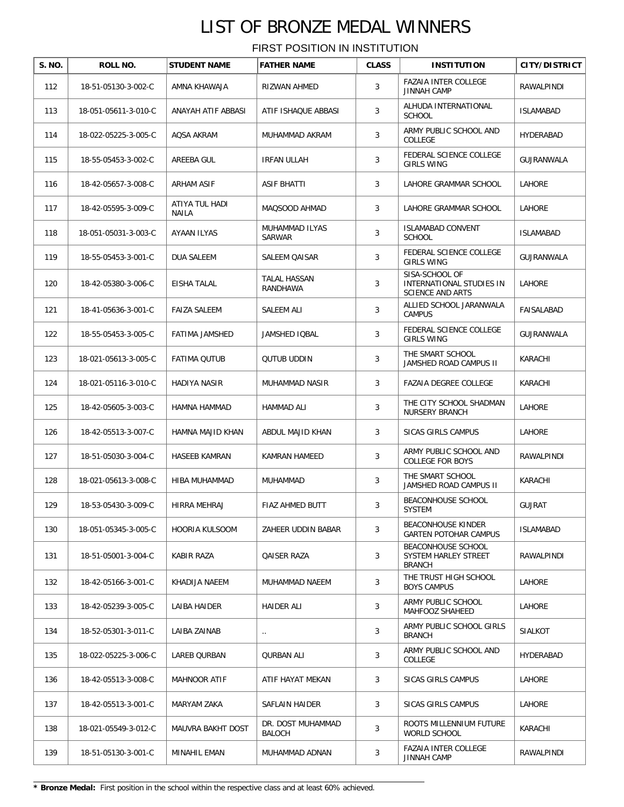| S. NO. | ROLL NO.             | <b>STUDENT NAME</b>     | <b>FATHER NAME</b>                 | <b>CLASS</b> | <b>INSTITUTION</b>                                                    | <b>CITY/DISTRICT</b> |
|--------|----------------------|-------------------------|------------------------------------|--------------|-----------------------------------------------------------------------|----------------------|
| 112    | 18-51-05130-3-002-C  | AMNA KHAWAJA            | RIZWAN AHMED                       | 3            | <b>FAZAIA INTER COLLEGE</b><br><b>JINNAH CAMP</b>                     | RAWALPINDI           |
| 113    | 18-051-05611-3-010-C | ANAYAH ATIF ABBASI      | ATIF ISHAQUE ABBASI                | 3            | ALHUDA INTERNATIONAL<br><b>SCHOOL</b>                                 | <b>ISLAMABAD</b>     |
| 114    | 18-022-05225-3-005-C | AQSA AKRAM              | MUHAMMAD AKRAM                     | 3            | ARMY PUBLIC SCHOOL AND<br>COLLEGE                                     | HYDERABAD            |
| 115    | 18-55-05453-3-002-C  | AREEBA GUL              | <b>IRFAN ULLAH</b>                 | 3            | FEDERAL SCIENCE COLLEGE<br><b>GIRLS WING</b>                          | <b>GUJRANWALA</b>    |
| 116    | 18-42-05657-3-008-C  | <b>ARHAM ASIF</b>       | <b>ASIF BHATTI</b>                 | 3            | LAHORE GRAMMAR SCHOOL                                                 | LAHORE               |
| 117    | 18-42-05595-3-009-C  | ATIYA TUL HADI<br>NAILA | MAQSOOD AHMAD                      | 3            | LAHORE GRAMMAR SCHOOL                                                 | LAHORE               |
| 118    | 18-051-05031-3-003-C | AYAAN ILYAS             | MUHAMMAD ILYAS<br>SARWAR           | 3            | <b>ISLAMABAD CONVENT</b><br><b>SCHOOL</b>                             | <b>ISLAMABAD</b>     |
| 119    | 18-55-05453-3-001-C  | DUA SALEEM              | <b>SALEEM QAISAR</b>               | 3            | FEDERAL SCIENCE COLLEGE<br><b>GIRLS WING</b>                          | GUJRANWALA           |
| 120    | 18-42-05380-3-006-C  | EISHA TALAL             | TALAL HASSAN<br>RANDHAWA           | 3            | SISA-SCHOOL OF<br>INTERNATIONAL STUDIES IN<br><b>SCIENCE AND ARTS</b> | LAHORE               |
| 121    | 18-41-05636-3-001-C  | <b>FAIZA SALEEM</b>     | SALEEM ALI                         | 3            | ALLIED SCHOOL JARANWALA<br><b>CAMPUS</b>                              | FAISALABAD           |
| 122    | 18-55-05453-3-005-C  | FATIMA JAMSHED          | <b>JAMSHED IQBAL</b>               | 3            | FEDERAL SCIENCE COLLEGE<br><b>GIRLS WING</b>                          | GUJRANWALA           |
| 123    | 18-021-05613-3-005-C | <b>FATIMA QUTUB</b>     | <b>QUTUB UDDIN</b>                 | 3            | THE SMART SCHOOL<br>JAMSHED ROAD CAMPUS II                            | KARACHI              |
| 124    | 18-021-05116-3-010-C | HADIYA NASIR            | MUHAMMAD NASIR                     | 3            | FAZAIA DEGREE COLLEGE                                                 | KARACHI              |
| 125    | 18-42-05605-3-003-C  | HAMNA HAMMAD            | HAMMAD ALI                         | 3            | THE CITY SCHOOL SHADMAN<br><b>NURSERY BRANCH</b>                      | LAHORE               |
| 126    | 18-42-05513-3-007-C  | HAMNA MAJID KHAN        | ABDUL MAJID KHAN                   | 3            | SICAS GIRLS CAMPUS                                                    | LAHORE               |
| 127    | 18-51-05030-3-004-C  | HASEEB KAMRAN           | KAMRAN HAMEED                      | 3            | ARMY PUBLIC SCHOOL AND<br><b>COLLEGE FOR BOYS</b>                     | RAWALPINDI           |
| 128    | 18-021-05613-3-008-C | HIBA MUHAMMAD           | MUHAMMAD                           | 3            | THE SMART SCHOOL<br>JAMSHED ROAD CAMPUS II                            | KARACHI              |
| 129    | 18-53-05430-3-009-C  | <b>HIRRA MEHRAJ</b>     | <b>FIAZ AHMED BUTT</b>             | 3            | BEACONHOUSE SCHOOL<br>SYSTEM                                          | <b>GUJRAT</b>        |
| 130    | 18-051-05345-3-005-C | HOORIA KULSOOM          | ZAHEER UDDIN BABAR                 | 3            | <b>BEACONHOUSE KINDER</b><br><b>GARTEN POTOHAR CAMPUS</b>             | <b>ISLAMABAD</b>     |
| 131    | 18-51-05001-3-004-C  | KABIR RAZA              | <b>QAISER RAZA</b>                 | 3            | BEACONHOUSE SCHOOL<br>SYSTEM HARLEY STREET<br><b>BRANCH</b>           | RAWALPINDI           |
| 132    | 18-42-05166-3-001-C  | KHADIJA NAEEM           | MUHAMMAD NAEEM                     | 3            | THE TRUST HIGH SCHOOL<br><b>BOYS CAMPUS</b>                           | LAHORE               |
| 133    | 18-42-05239-3-005-C  | LAIBA HAIDER            | HAIDER ALI                         | 3            | ARMY PUBLIC SCHOOL<br>MAHFOOZ SHAHEED                                 | LAHORE               |
| 134    | 18-52-05301-3-011-C  | LAIBA ZAINAB            | $\ddotsc$                          | 3            | ARMY PUBLIC SCHOOL GIRLS<br><b>BRANCH</b>                             | SIALKOT              |
| 135    | 18-022-05225-3-006-C | LAREB QURBAN            | QURBAN ALI                         | 3            | ARMY PUBLIC SCHOOL AND<br>COLLEGE                                     | HYDERABAD            |
| 136    | 18-42-05513-3-008-C  | MAHNOOR ATIF            | ATIF HAYAT MEKAN                   | 3            | SICAS GIRLS CAMPUS                                                    | LAHORE               |
| 137    | 18-42-05513-3-001-C  | MARYAM ZAKA             | SAFLAIN HAIDER                     | 3            | SICAS GIRLS CAMPUS                                                    | LAHORE               |
| 138    | 18-021-05549-3-012-C | MAUVRA BAKHT DOST       | DR. DOST MUHAMMAD<br><b>BALOCH</b> | 3            | ROOTS MILLENNIUM FUTURE<br>WORLD SCHOOL                               | KARACHI              |
| 139    | 18-51-05130-3-001-C  | MINAHIL EMAN            | MUHAMMAD ADNAN                     | 3            | FAZAIA INTER COLLEGE<br><b>JINNAH CAMP</b>                            | RAWALPINDI           |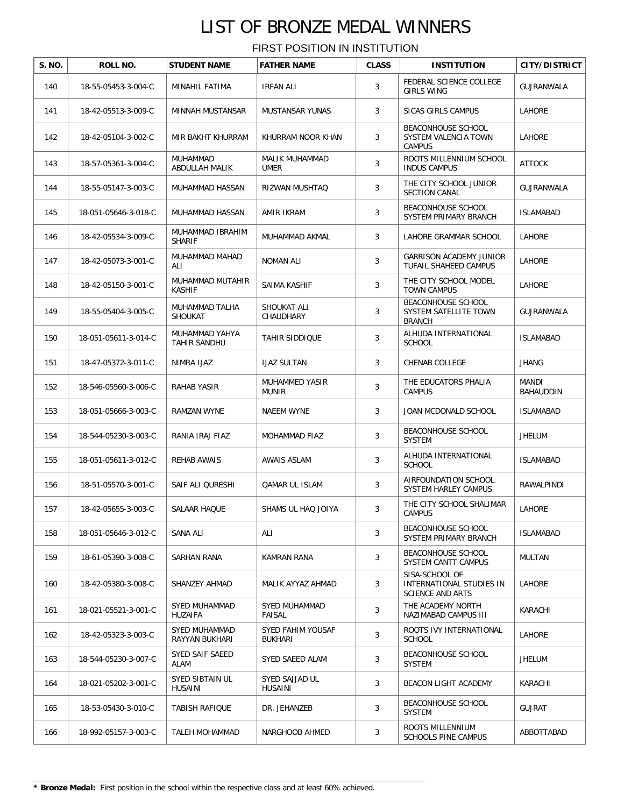| S. NO. | ROLL NO.             | <b>STUDENT NAME</b>               | <b>FATHER NAME</b>                  | <b>CLASS</b> | <b>INSTITUTION</b>                                                    | <b>CITY/DISTRICT</b> |
|--------|----------------------|-----------------------------------|-------------------------------------|--------------|-----------------------------------------------------------------------|----------------------|
| 140    | 18-55-05453-3-004-C  | MINAHIL FATIMA                    | <b>IRFAN ALI</b>                    | 3            | FEDERAL SCIENCE COLLEGE<br><b>GIRLS WING</b>                          | GUJRANWALA           |
| 141    | 18-42-05513-3-009-C  | MINNAH MUSTANSAR                  | <b>MUSTANSAR YUNAS</b>              | 3            | SICAS GIRLS CAMPUS                                                    | LAHORE               |
| 142    | 18-42-05104-3-002-C  | MIR BAKHT KHURRAM                 | KHURRAM NOOR KHAN                   | 3            | BEACONHOUSE SCHOOL<br>SYSTEM VALENCIA TOWN<br><b>CAMPUS</b>           | LAHORE               |
| 143    | 18-57-05361-3-004-C  | MUHAMMAD<br>ABDULLAH MALIK        | MALIK MUHAMMAD<br>UMER              | 3            | ROOTS MILLENNIUM SCHOOL<br><b>INDUS CAMPUS</b>                        | <b>ATTOCK</b>        |
| 144    | 18-55-05147-3-003-C  | MUHAMMAD HASSAN                   | RIZWAN MUSHTAQ                      | 3            | THE CITY SCHOOL JUNIOR<br><b>SECTION CANAL</b>                        | GUJRANWALA           |
| 145    | 18-051-05646-3-018-C | MUHAMMAD HASSAN                   | AMIR IKRAM                          | 3            | BEACONHOUSE SCHOOL<br>SYSTEM PRIMARY BRANCH                           | <b>ISLAMABAD</b>     |
| 146    | 18-42-05534-3-009-C  | MUHAMMAD IBRAHIM<br><b>SHARIF</b> | MUHAMMAD AKMAL                      | 3            | LAHORE GRAMMAR SCHOOL                                                 | LAHORE               |
| 147    | 18-42-05073-3-001-C  | MUHAMMAD MAHAD<br>ALI             | <b>NOMAN ALI</b>                    | 3            | <b>GARRISON ACADEMY JUNIOR</b><br>TUFAIL SHAHEED CAMPUS               | <b>LAHORE</b>        |
| 148    | 18-42-05150-3-001-C  | MUHAMMAD MUTAHIR<br><b>KASHIF</b> | SAIMA KASHIF                        | 3            | THE CITY SCHOOL MODEL<br><b>TOWN CAMPUS</b>                           | <b>LAHORE</b>        |
| 149    | 18-55-05404-3-005-C  | MUHAMMAD TALHA<br>SHOUKAT         | SHOUKAT ALI<br>CHAUDHARY            | 3            | BEACONHOUSE SCHOOL<br>SYSTEM SATELLITE TOWN<br><b>BRANCH</b>          | GUJRANWALA           |
| 150    | 18-051-05611-3-014-C | MUHAMMAD YAHYA<br>TAHIR SANDHU    | <b>TAHIR SIDDIQUE</b>               | 3            | ALHUDA INTERNATIONAL<br><b>SCHOOL</b>                                 | <b>ISLAMABAD</b>     |
| 151    | 18-47-05372-3-011-C  | NIMRA IJAZ                        | <b>IJAZ SULTAN</b>                  | 3            | CHENAB COLLEGE                                                        | <b>JHANG</b>         |
| 152    | 18-546-05560-3-006-C | RAHAB YASIR                       | MUHAMMED YASIR<br><b>MUNIR</b>      | 3            | THE EDUCATORS PHALIA<br><b>CAMPUS</b>                                 | MANDI<br>BAHAUDDIN   |
| 153    | 18-051-05666-3-003-C | RAMZAN WYNE                       | NAEEM WYNE                          | 3            | JOAN MCDONALD SCHOOL                                                  | <b>ISLAMABAD</b>     |
| 154    | 18-544-05230-3-003-C | RANIA IRAJ FIAZ                   | MOHAMMAD FIAZ                       | 3            | BEACONHOUSE SCHOOL<br><b>SYSTEM</b>                                   | <b>JHELUM</b>        |
| 155    | 18-051-05611-3-012-C | REHAB AWAIS                       | AWAIS ASLAM                         | 3            | ALHUDA INTERNATIONAL<br><b>SCHOOL</b>                                 | <b>ISLAMABAD</b>     |
| 156    | 18-51-05570-3-001-C  | SAIF ALI QURESHI                  | <b>QAMAR UL ISLAM</b>               | 3            | AIRFOUNDATION SCHOOL<br>SYSTEM HARLEY CAMPUS                          | RAWALPINDI           |
| 157    | 18-42-05655-3-003-C  | SALAAR HAQUE                      | SHAMS UL HAQ JOIYA                  | 3            | THE CITY SCHOOL SHALIMAR<br><b>CAMPUS</b>                             | LAHORE               |
| 158    | 18-051-05646-3-012-C | SANA ALI                          | ALI                                 | 3            | <b>BEACONHOUSE SCHOOL</b><br>SYSTEM PRIMARY BRANCH                    | <b>ISLAMABAD</b>     |
| 159    | 18-61-05390-3-008-C  | SARHAN RANA                       | KAMRAN RANA                         | 3            | BEACONHOUSE SCHOOL<br>SYSTEM CANTT CAMPUS                             | MULTAN               |
| 160    | 18-42-05380-3-008-C  | SHANZEY AHMAD                     | MALIK AYYAZ AHMAD                   | 3            | SISA-SCHOOL OF<br>INTERNATIONAL STUDIES IN<br><b>SCIENCE AND ARTS</b> | <b>LAHORE</b>        |
| 161    | 18-021-05521-3-001-C | SYED MUHAMMAD<br>HUZAIFA          | SYED MUHAMMAD<br>FAISAL             | 3            | THE ACADEMY NORTH<br>NAZIMABAD CAMPUS III                             | KARACHI              |
| 162    | 18-42-05323-3-003-C  | SYED MUHAMMAD<br>RAYYAN BUKHARI   | SYED FAHIM YOUSAF<br><b>BUKHARI</b> | 3            | ROOTS IVY INTERNATIONAL<br><b>SCHOOL</b>                              | LAHORE               |
| 163    | 18-544-05230-3-007-C | SYED SAIF SAEED<br>ALAM           | SYED SAEED ALAM                     | 3            | BEACONHOUSE SCHOOL<br>SYSTEM                                          | JHELUM               |
| 164    | 18-021-05202-3-001-C | SYED SIBTAIN UL<br>HUSAINI        | SYED SAJJAD UL<br>HUSAINI           | 3            | BEACON LIGHT ACADEMY                                                  | KARACHI              |
| 165    | 18-53-05430-3-010-C  | TABISH RAFIQUE                    | DR. JEHANZEB                        | 3            | BEACONHOUSE SCHOOL<br>SYSTEM                                          | <b>GUJRAT</b>        |
| 166    | 18-992-05157-3-003-C | TALEH MOHAMMAD                    | NARGHOOB AHMED                      | 3            | ROOTS MILLENNIUM<br><b>SCHOOLS PINE CAMPUS</b>                        | ABBOTTABAD           |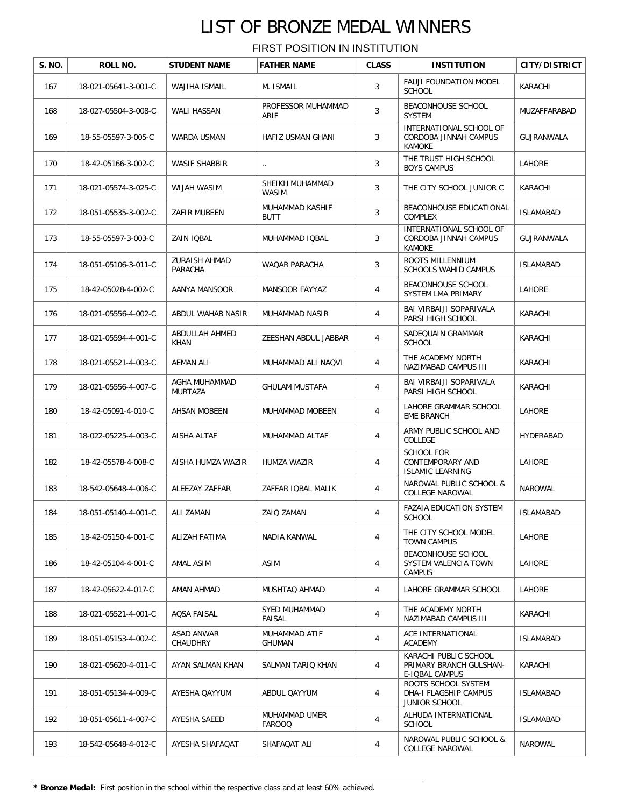| S. NO. | ROLL NO.             | <b>STUDENT NAME</b>             | <b>FATHER NAME</b>             | <b>CLASS</b>   | <b>INSTITUTION</b>                                                 | <b>CITY/DISTRICT</b> |
|--------|----------------------|---------------------------------|--------------------------------|----------------|--------------------------------------------------------------------|----------------------|
| 167    | 18-021-05641-3-001-C | WAJIHA ISMAIL                   | M. ISMAIL                      | 3              | <b>FAUJI FOUNDATION MODEL</b><br><b>SCHOOL</b>                     | KARACHI              |
| 168    | 18-027-05504-3-008-C | WALI HASSAN                     | PROFESSOR MUHAMMAD<br>ARIF     | 3              | BEACONHOUSE SCHOOL<br><b>SYSTEM</b>                                | MUZAFFARABAD         |
| 169    | 18-55-05597-3-005-C  | WARDA USMAN                     | HAFIZ USMAN GHANI              | 3              | INTERNATIONAL SCHOOL OF<br>CORDOBA JINNAH CAMPUS<br><b>KAMOKE</b>  | GUJRANWALA           |
| 170    | 18-42-05166-3-002-C  | <b>WASIF SHABBIR</b>            | $\ldots$                       | 3              | THE TRUST HIGH SCHOOL<br><b>BOYS CAMPUS</b>                        | <b>LAHORE</b>        |
| 171    | 18-021-05574-3-025-C | WIJAH WASIM                     | SHEIKH MUHAMMAD<br>WASIM       | 3              | THE CITY SCHOOL JUNIOR C                                           | KARACHI              |
| 172    | 18-051-05535-3-002-C | ZAFIR MUBEEN                    | MUHAMMAD KASHIF<br><b>BUTT</b> | 3              | BEACONHOUSE EDUCATIONAL<br>COMPLEX                                 | <b>ISLAMABAD</b>     |
| 173    | 18-55-05597-3-003-C  | ZAIN IQBAL                      | MUHAMMAD IQBAL                 | 3              | INTERNATIONAL SCHOOL OF<br>CORDOBA JINNAH CAMPUS<br>KAMOKE         | GUJRANWALA           |
| 174    | 18-051-05106-3-011-C | <b>ZURAISH AHMAD</b><br>PARACHA | <b>WAQAR PARACHA</b>           | 3              | ROOTS MILLENNIUM<br><b>SCHOOLS WAHID CAMPUS</b>                    | <b>ISLAMABAD</b>     |
| 175    | 18-42-05028-4-002-C  | AANYA MANSOOR                   | MANSOOR FAYYAZ                 | 4              | BEACONHOUSE SCHOOL<br>SYSTEM LMA PRIMARY                           | LAHORE               |
| 176    | 18-021-05556-4-002-C | ABDUL WAHAB NASIR               | MUHAMMAD NASIR                 | 4              | BAI VIRBAIJI SOPARIVALA<br>PARSI HIGH SCHOOL                       | KARACHI              |
| 177    | 18-021-05594-4-001-C | ABDULLAH AHMED<br>KHAN          | ZEESHAN ABDUL JABBAR           | 4              | SADEQUAIN GRAMMAR<br><b>SCHOOL</b>                                 | KARACHI              |
| 178    | 18-021-05521-4-003-C | <b>AEMAN ALI</b>                | MUHAMMAD ALI NAQVI             | $\overline{4}$ | THE ACADEMY NORTH<br>NAZIMABAD CAMPUS III                          | KARACHI              |
| 179    | 18-021-05556-4-007-C | AGHA MUHAMMAD<br>MURTAZA        | <b>GHULAM MUSTAFA</b>          | 4              | BAI VIRBAIJI SOPARIVALA<br>PARSI HIGH SCHOOL                       | KARACHI              |
| 180    | 18-42-05091-4-010-C  | AHSAN MOBEEN                    | MUHAMMAD MOBEEN                | 4              | LAHORE GRAMMAR SCHOOL<br><b>EME BRANCH</b>                         | LAHORE               |
| 181    | 18-022-05225-4-003-C | AISHA ALTAF                     | MUHAMMAD ALTAF                 | 4              | ARMY PUBLIC SCHOOL AND<br>COLLEGE                                  | HYDERABAD            |
| 182    | 18-42-05578-4-008-C  | AISHA HUMZA WAZIR               | <b>HUMZA WAZIR</b>             | 4              | <b>SCHOOL FOR</b><br>CONTEMPORARY AND<br><b>ISLAMIC LEARNING</b>   | LAHORE               |
| 183    | 18-542-05648-4-006-C | ALEEZAY ZAFFAR                  | ZAFFAR IQBAL MALIK             | 4              | NAROWAL PUBLIC SCHOOL &<br><b>COLLEGE NAROWAL</b>                  | <b>NAROWAL</b>       |
| 184    | 18-051-05140-4-001-C | ALI ZAMAN                       | ZAIQ ZAMAN                     | 4              | FAZAIA EDUCATION SYSTEM<br><b>SCHOOL</b>                           | <b>ISLAMABAD</b>     |
| 185    | 18-42-05150-4-001-C  | ALIZAH FATIMA                   | NADIA KANWAL                   | 4              | THE CITY SCHOOL MODEL<br><b>TOWN CAMPUS</b>                        | LAHORE               |
| 186    | 18-42-05104-4-001-C  | AMAL ASIM                       | ASIM                           | 4              | BEACONHOUSE SCHOOL<br>SYSTEM VALENCIA TOWN<br><b>CAMPUS</b>        | LAHORE               |
| 187    | 18-42-05622-4-017-C  | AMAN AHMAD                      | MUSHTAQ AHMAD                  | 4              | LAHORE GRAMMAR SCHOOL                                              | LAHORE               |
| 188    | 18-021-05521-4-001-C | AQSA FAISAL                     | <b>SYED MUHAMMAD</b><br>FAISAL | 4              | THE ACADEMY NORTH<br>NAZIMABAD CAMPUS III                          | KARACHI              |
| 189    | 18-051-05153-4-002-C | ASAD ANWAR<br>CHAUDHRY          | MUHAMMAD ATIF<br>GHUMAN        | 4              | ACE INTERNATIONAL<br><b>ACADEMY</b>                                | ISLAMABAD            |
| 190    | 18-021-05620-4-011-C | AYAN SALMAN KHAN                | SALMAN TARIQ KHAN              | 4              | KARACHI PUBLIC SCHOOL<br>PRIMARY BRANCH GULSHAN-<br>E-IQBAL CAMPUS | KARACHI              |
| 191    | 18-051-05134-4-009-C | AYESHA QAYYUM                   | ABDUL QAYYUM                   | 4              | ROOTS SCHOOL SYSTEM<br>DHA-I FLAGSHIP CAMPUS<br>JUNIOR SCHOOL      | ISLAMABAD            |
| 192    | 18-051-05611-4-007-C | AYESHA SAEED                    | MUHAMMAD UMER<br><b>FAROOQ</b> | $\overline{4}$ | ALHUDA INTERNATIONAL<br><b>SCHOOL</b>                              | <b>ISLAMABAD</b>     |
| 193    | 18-542-05648-4-012-C | AYESHA SHAFAQAT                 | SHAFAQAT ALI                   | 4              | NAROWAL PUBLIC SCHOOL &<br>COLLEGE NAROWAL                         | NAROWAL              |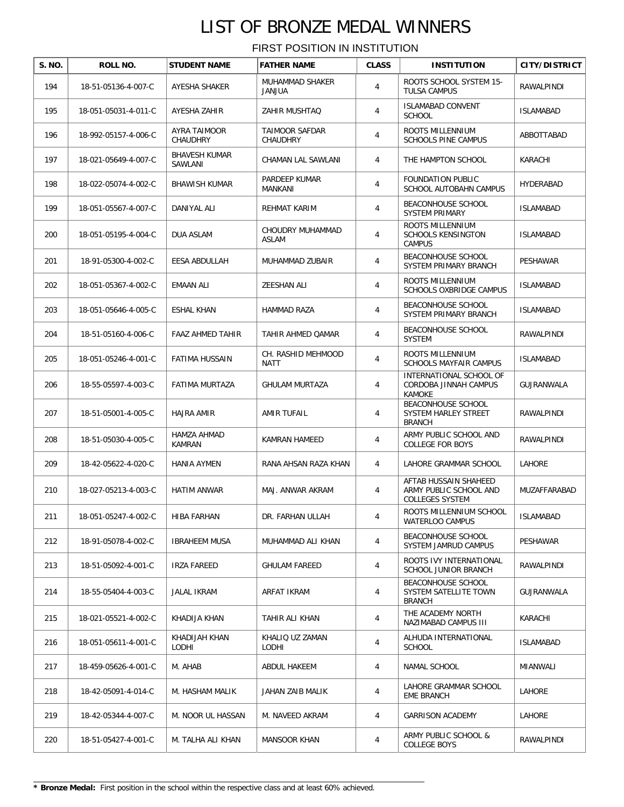| S. NO. | ROLL NO.             | <b>STUDENT NAME</b>             | <b>FATHER NAME</b>                | <b>CLASS</b> | <b>INSTITUTION</b>                                                 | CITY/DISTRICT    |
|--------|----------------------|---------------------------------|-----------------------------------|--------------|--------------------------------------------------------------------|------------------|
| 194    | 18-51-05136-4-007-C  | AYESHA SHAKER                   | MUHAMMAD SHAKER<br>AULIAL         | 4            | ROOTS SCHOOL SYSTEM 15-<br><b>TULSA CAMPUS</b>                     | RAWALPINDI       |
| 195    | 18-051-05031-4-011-C | AYESHA ZAHIR                    | ZAHIR MUSHTAQ                     | 4            | <b>ISLAMABAD CONVENT</b><br><b>SCHOOL</b>                          | <b>ISLAMABAD</b> |
| 196    | 18-992-05157-4-006-C | AYRA TAIMOOR<br>CHAUDHRY        | TAIMOOR SAFDAR<br>CHAUDHRY        | 4            | ROOTS MILLENNIUM<br><b>SCHOOLS PINE CAMPUS</b>                     | ABBOTTABAD       |
| 197    | 18-021-05649-4-007-C | <b>BHAVESH KUMAR</b><br>SAWLANI | CHAMAN LAL SAWLANI                | 4            | THE HAMPTON SCHOOL                                                 | KARACHI          |
| 198    | 18-022-05074-4-002-C | <b>BHAWISH KUMAR</b>            | PARDEEP KUMAR<br>MANKANI          | 4            | <b>FOUNDATION PUBLIC</b><br>SCHOOL AUTOBAHN CAMPUS                 | HYDERABAD        |
| 199    | 18-051-05567-4-007-C | DANIYAL ALI                     | REHMAT KARIM                      | 4            | BEACONHOUSE SCHOOL<br><b>SYSTEM PRIMARY</b>                        | <b>ISLAMABAD</b> |
| 200    | 18-051-05195-4-004-C | DUA ASLAM                       | CHOUDRY MUHAMMAD<br>ASLAM         | 4            | ROOTS MILLENNIUM<br><b>SCHOOLS KENSINGTON</b><br><b>CAMPUS</b>     | <b>ISLAMABAD</b> |
| 201    | 18-91-05300-4-002-C  | EESA ABDULLAH                   | MUHAMMAD ZUBAIR                   | 4            | BEACONHOUSE SCHOOL<br>SYSTEM PRIMARY BRANCH                        | PESHAWAR         |
| 202    | 18-051-05367-4-002-C | <b>EMAAN ALI</b>                | <b>ZEESHAN ALI</b>                | 4            | ROOTS MILLENNIUM<br><b>SCHOOLS OXBRIDGE CAMPUS</b>                 | <b>ISLAMABAD</b> |
| 203    | 18-051-05646-4-005-C | <b>ESHAL KHAN</b>               | <b>HAMMAD RAZA</b>                | 4            | BEACONHOUSE SCHOOL<br>SYSTEM PRIMARY BRANCH                        | <b>ISLAMABAD</b> |
| 204    | 18-51-05160-4-006-C  | FAAZ AHMED TAHIR                | TAHIR AHMED QAMAR                 | 4            | <b>BEACONHOUSE SCHOOL</b><br>SYSTEM                                | RAWALPINDI       |
| 205    | 18-051-05246-4-001-C | FATIMA HUSSAIN                  | CH. RASHID MEHMOOD<br><b>NATT</b> | 4            | ROOTS MILLENNIUM<br><b>SCHOOLS MAYFAIR CAMPUS</b>                  | <b>ISLAMABAD</b> |
| 206    | 18-55-05597-4-003-C  | FATIMA MURTAZA                  | <b>GHULAM MURTAZA</b>             | 4            | INTERNATIONAL SCHOOL OF<br>CORDOBA JINNAH CAMPUS<br><b>KAMOKE</b>  | GUJRANWALA       |
| 207    | 18-51-05001-4-005-C  | <b>HAJRA AMIR</b>               | AMIR TUFAIL                       | 4            | BEACONHOUSE SCHOOL<br>SYSTEM HARLEY STREET<br><b>BRANCH</b>        | RAWALPINDI       |
| 208    | 18-51-05030-4-005-C  | HAMZA AHMAD<br>KAMRAN           | KAMRAN HAMEED                     | 4            | ARMY PUBLIC SCHOOL AND<br><b>COLLEGE FOR BOYS</b>                  | RAWALPINDI       |
| 209    | 18-42-05622-4-020-C  | <b>HANIA AYMEN</b>              | RANA AHSAN RAZA KHAN              | 4            | LAHORE GRAMMAR SCHOOL                                              | LAHORE           |
| 210    | 18-027-05213-4-003-C | <b>HATIM ANWAR</b>              | MAJ. ANWAR AKRAM                  | 4            | AFTAB HUSSAIN SHAHEED<br>ARMY PUBLIC SCHOOL AND<br>COLLEGES SYSTEM | MUZAFFARABAD     |
| 211    | 18-051-05247-4-002-C | HIBA FARHAN                     | DR. FARHAN ULLAH                  | 4            | ROOTS MILLENNIUM SCHOOL<br><b>WATERLOO CAMPUS</b>                  | <b>ISLAMABAD</b> |
| 212    | 18-91-05078-4-002-C  | <b>IBRAHEEM MUSA</b>            | MUHAMMAD ALI KHAN                 | 4            | BEACONHOUSE SCHOOL<br>SYSTEM JAMRUD CAMPUS                         | PESHAWAR         |
| 213    | 18-51-05092-4-001-C  | <b>IRZA FAREED</b>              | <b>GHULAM FAREED</b>              | 4            | ROOTS IVY INTERNATIONAL<br>SCHOOL JUNIOR BRANCH                    | RAWALPINDI       |
| 214    | 18-55-05404-4-003-C  | JALAL IKRAM                     | ARFAT IKRAM                       | 4            | BEACONHOUSE SCHOOL<br>SYSTEM SATELLITE TOWN<br><b>BRANCH</b>       | GUJRANWALA       |
| 215    | 18-021-05521-4-002-C | KHADIJA KHAN                    | TAHIR ALI KHAN                    | 4            | THE ACADEMY NORTH<br>NAZIMABAD CAMPUS III                          | KARACHI          |
| 216    | 18-051-05611-4-001-C | KHADIJAH KHAN<br>LODHI          | KHALIQ UZ ZAMAN<br>LODHI          | 4            | ALHUDA INTERNATIONAL<br><b>SCHOOL</b>                              | <b>ISLAMABAD</b> |
| 217    | 18-459-05626-4-001-C | M. AHAB                         | ABDUL HAKEEM                      | 4            | NAMAL SCHOOL                                                       | MIANWALI         |
| 218    | 18-42-05091-4-014-C  | M. HASHAM MALIK                 | JAHAN ZAIB MALIK                  | 4            | LAHORE GRAMMAR SCHOOL<br><b>EME BRANCH</b>                         | LAHORE           |
| 219    | 18-42-05344-4-007-C  | M. NOOR UL HASSAN               | M. NAVEED AKRAM                   | 4            | <b>GARRISON ACADEMY</b>                                            | LAHORE           |
| 220    | 18-51-05427-4-001-C  | M. TALHA ALI KHAN               | <b>MANSOOR KHAN</b>               | 4            | ARMY PUBLIC SCHOOL &<br><b>COLLEGE BOYS</b>                        | RAWALPINDI       |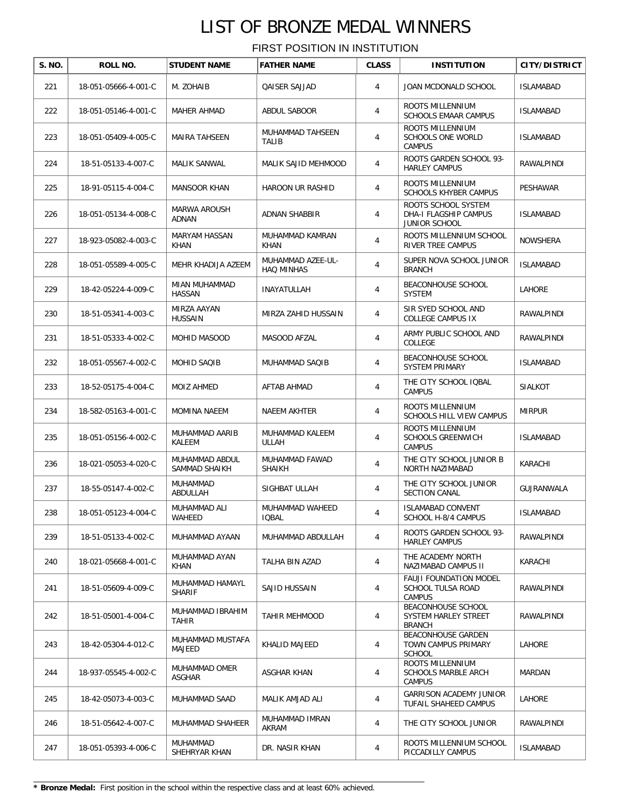| S. NO. | ROLL NO.             | <b>STUDENT NAME</b>              | <b>FATHER NAME</b>                     | <b>CLASS</b> | <b>INSTITUTION</b>                                                  | <b>CITY/DISTRICT</b> |
|--------|----------------------|----------------------------------|----------------------------------------|--------------|---------------------------------------------------------------------|----------------------|
| 221    | 18-051-05666-4-001-C | M. ZOHAIB                        | QAISER SAJJAD                          | 4            | JOAN MCDONALD SCHOOL                                                | <b>ISLAMABAD</b>     |
| 222    | 18-051-05146-4-001-C | <b>MAHER AHMAD</b>               | ABDUL SABOOR                           | 4            | ROOTS MILLENNIUM<br><b>SCHOOLS EMAAR CAMPUS</b>                     | <b>ISLAMABAD</b>     |
| 223    | 18-051-05409-4-005-C | <b>MAIRA TAHSEEN</b>             | MUHAMMAD TAHSEEN<br><b>TALIB</b>       | 4            | ROOTS MILLENNIUM<br><b>SCHOOLS ONE WORLD</b><br><b>CAMPUS</b>       | <b>ISLAMABAD</b>     |
| 224    | 18-51-05133-4-007-C  | <b>MALIK SANWAL</b>              | MALIK SAJID MEHMOOD                    | 4            | ROOTS GARDEN SCHOOL 93-<br><b>HARLEY CAMPUS</b>                     | RAWALPINDI           |
| 225    | 18-91-05115-4-004-C  | <b>MANSOOR KHAN</b>              | HAROON UR RASHID                       | 4            | ROOTS MILLENNIUM<br><b>SCHOOLS KHYBER CAMPUS</b>                    | PESHAWAR             |
| 226    | 18-051-05134-4-008-C | MARWA AROUSH<br>ADNAN            | ADNAN SHABBIR                          | 4            | ROOTS SCHOOL SYSTEM<br>DHA-I FLAGSHIP CAMPUS<br>JUNIOR SCHOOL       | <b>ISLAMABAD</b>     |
| 227    | 18-923-05082-4-003-C | MARYAM HASSAN<br>KHAN            | MUHAMMAD KAMRAN<br><b>KHAN</b>         | 4            | ROOTS MILLENNIUM SCHOOL<br>RIVER TREE CAMPUS                        | <b>NOWSHERA</b>      |
| 228    | 18-051-05589-4-005-C | MEHR KHADIJA AZEEM               | MUHAMMAD AZEE-UL-<br><b>HAQ MINHAS</b> | 4            | SUPER NOVA SCHOOL JUNIOR<br><b>BRANCH</b>                           | <b>ISLAMABAD</b>     |
| 229    | 18-42-05224-4-009-C  | MIAN MUHAMMAD<br>HASSAN          | INAYATULLAH                            | 4            | BEACONHOUSE SCHOOL<br><b>SYSTEM</b>                                 | LAHORE               |
| 230    | 18-51-05341-4-003-C  | MIRZA AAYAN<br>HUSSAIN           | MIRZA ZAHID HUSSAIN                    | 4            | SIR SYED SCHOOL AND<br><b>COLLEGE CAMPUS IX</b>                     | RAWALPINDI           |
| 231    | 18-51-05333-4-002-C  | MOHID MASOOD                     | MASOOD AFZAL                           | 4            | ARMY PUBLIC SCHOOL AND<br>COLLEGE                                   | RAWALPINDI           |
| 232    | 18-051-05567-4-002-C | MOHID SAQIB                      | MUHAMMAD SAQIB                         | 4            | BEACONHOUSE SCHOOL<br><b>SYSTEM PRIMARY</b>                         | ISLAMABAD            |
| 233    | 18-52-05175-4-004-C  | MOIZ AHMED                       | AFTAB AHMAD                            | 4            | THE CITY SCHOOL IQBAL<br><b>CAMPUS</b>                              | <b>SIALKOT</b>       |
| 234    | 18-582-05163-4-001-C | <b>MOMINA NAEEM</b>              | NAEEM AKHTER                           | 4            | ROOTS MILLENNIUM<br>SCHOOLS HILL VIEW CAMPUS                        | <b>MIRPUR</b>        |
| 235    | 18-051-05156-4-002-C | MUHAMMAD AARIB<br>KALEEM         | MUHAMMAD KALEEM<br>ULLAH               | 4            | ROOTS MILLENNIUM<br><b>SCHOOLS GREENWICH</b><br><b>CAMPUS</b>       | <b>ISLAMABAD</b>     |
| 236    | 18-021-05053-4-020-C | MUHAMMAD ABDUL<br>SAMMAD SHAIKH  | MUHAMMAD FAWAD<br><b>SHAIKH</b>        | 4            | THE CITY SCHOOL JUNIOR B<br>NORTH NAZIMABAD                         | KARACHI              |
| 237    | 18-55-05147-4-002-C  | MUHAMMAD<br>ABDULLAH             | SIGHBAT ULLAH                          | 4            | THE CITY SCHOOL JUNIOR<br><b>SECTION CANAL</b>                      | GUJRANWALA           |
| 238    | 18-051-05123-4-004-C | MUHAMMAD ALI<br>WAHEED           | MUHAMMAD WAHEED<br><b>IQBAL</b>        | 4            | <b>ISLAMABAD CONVENT</b><br>SCHOOL H-8/4 CAMPUS                     | <b>ISLAMABAD</b>     |
| 239    | 18-51-05133-4-002-C  | MUHAMMAD AYAAN                   | MUHAMMAD ABDULLAH                      | 4            | ROOTS GARDEN SCHOOL 93-<br><b>HARLEY CAMPUS</b>                     | RAWALPINDI           |
| 240    | 18-021-05668-4-001-C | MUHAMMAD AYAN<br>KHAN            | TALHA BIN AZAD                         | 4            | THE ACADEMY NORTH<br>NAZIMABAD CAMPUS II                            | KARACHI              |
| 241    | 18-51-05609-4-009-C  | MUHAMMAD HAMAYL<br><b>SHARIF</b> | SAJID HUSSAIN                          | 4            | <b>FAUJI FOUNDATION MODEL</b><br>SCHOOL TULSA ROAD<br><b>CAMPUS</b> | RAWALPINDI           |
| 242    | 18-51-05001-4-004-C  | MUHAMMAD IBRAHIM<br>TAHIR        | <b>TAHIR MEHMOOD</b>                   | 4            | BEACONHOUSE SCHOOL<br>SYSTEM HARLEY STREET<br><b>BRANCH</b>         | RAWALPINDI           |
| 243    | 18-42-05304-4-012-C  | MUHAMMAD MUSTAFA<br>MAJEED       | KHALID MAJEED                          | 4            | BEACONHOUSE GARDEN<br>TOWN CAMPUS PRIMARY<br><b>SCHOOL</b>          | LAHORE               |
| 244    | 18-937-05545-4-002-C | MUHAMMAD OMER<br>ASGHAR          | ASGHAR KHAN                            | 4            | ROOTS MILLENNIUM<br>SCHOOLS MARBLE ARCH<br>CAMPUS                   | MARDAN               |
| 245    | 18-42-05073-4-003-C  | MUHAMMAD SAAD                    | MALIK AMJAD ALI                        | 4            | <b>GARRISON ACADEMY JUNIOR</b><br>TUFAIL SHAHEED CAMPUS             | LAHORE               |
| 246    | 18-51-05642-4-007-C  | MUHAMMAD SHAHEER                 | MUHAMMAD IMRAN<br>AKRAM                | 4            | THE CITY SCHOOL JUNIOR                                              | RAWALPINDI           |
| 247    | 18-051-05393-4-006-C | MUHAMMAD<br>SHEHRYAR KHAN        | DR. NASIR KHAN                         | 4            | ROOTS MILLENNIUM SCHOOL<br>PICCADILLY CAMPUS                        | <b>ISLAMABAD</b>     |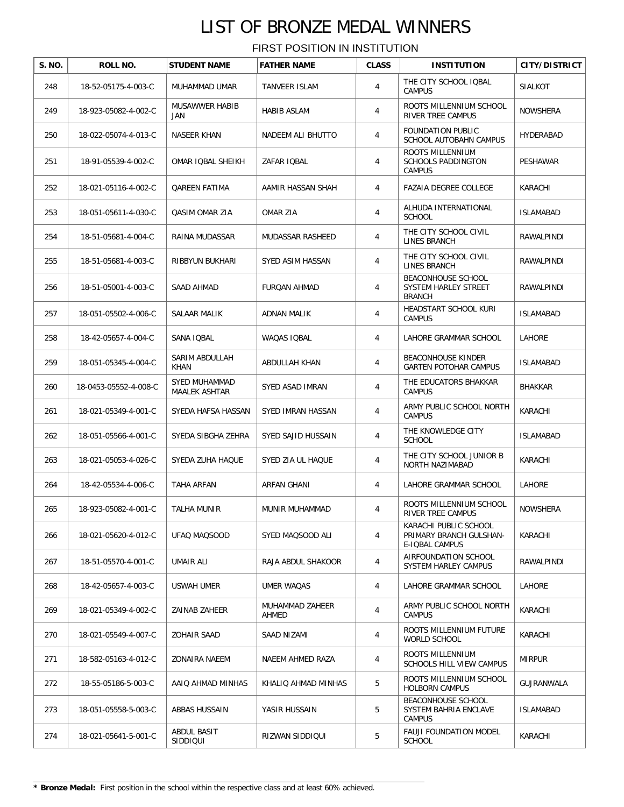| S. NO. | ROLL NO.              | <b>STUDENT NAME</b>            | <b>FATHER NAME</b>       | <b>CLASS</b> | <b>INSTITUTION</b>                                                 | <b>CITY/DISTRICT</b> |
|--------|-----------------------|--------------------------------|--------------------------|--------------|--------------------------------------------------------------------|----------------------|
| 248    | 18-52-05175-4-003-C   | MUHAMMAD UMAR                  | TANVEER ISLAM            | 4            | THE CITY SCHOOL IQBAL<br><b>CAMPUS</b>                             | <b>SIALKOT</b>       |
| 249    | 18-923-05082-4-002-C  | MUSAWWER HABIB<br>JAN          | <b>HABIB ASLAM</b>       | 4            | ROOTS MILLENNIUM SCHOOL<br>RIVER TREE CAMPUS                       | <b>NOWSHERA</b>      |
| 250    | 18-022-05074-4-013-C  | NASEER KHAN                    | NADEEM ALI BHUTTO        | 4            | FOUNDATION PUBLIC<br>SCHOOL AUTOBAHN CAMPUS                        | HYDERABAD            |
| 251    | 18-91-05539-4-002-C   | OMAR IQBAL SHEIKH              | ZAFAR IOBAL              | 4            | ROOTS MILLENNIUM<br>SCHOOLS PADDINGTON<br><b>CAMPUS</b>            | PESHAWAR             |
| 252    | 18-021-05116-4-002-C  | <b>QAREEN FATIMA</b>           | AAMIR HASSAN SHAH        | 4            | FAZAIA DEGREE COLLEGE                                              | KARACHI              |
| 253    | 18-051-05611-4-030-C  | <b>QASIM OMAR ZIA</b>          | OMAR ZIA                 | 4            | ALHUDA INTERNATIONAL<br><b>SCHOOL</b>                              | <b>ISLAMABAD</b>     |
| 254    | 18-51-05681-4-004-C   | RAINA MUDASSAR                 | MUDASSAR RASHEED         | 4            | THE CITY SCHOOL CIVIL<br>LINES BRANCH                              | RAWALPINDI           |
| 255    | 18-51-05681-4-003-C   | RIBBYUN BUKHARI                | SYED ASIM HASSAN         | 4            | THE CITY SCHOOL CIVIL<br>LINES BRANCH                              | RAWALPINDI           |
| 256    | 18-51-05001-4-003-C   | SAAD AHMAD                     | FURQAN AHMAD             | 4            | BEACONHOUSE SCHOOL<br>SYSTEM HARLEY STREET<br><b>BRANCH</b>        | RAWALPINDI           |
| 257    | 18-051-05502-4-006-C  | SALAAR MALIK                   | <b>ADNAN MALIK</b>       | 4            | HEADSTART SCHOOL KURI<br><b>CAMPUS</b>                             | ISLAMABAD            |
| 258    | 18-42-05657-4-004-C   | SANA IQBAL                     | WAQAS IQBAL              | 4            | LAHORE GRAMMAR SCHOOL                                              | LAHORE               |
| 259    | 18-051-05345-4-004-C  | SARIM ABDULLAH<br>KHAN         | ABDULLAH KHAN            | 4            | <b>BEACONHOUSE KINDER</b><br><b>GARTEN POTOHAR CAMPUS</b>          | ISLAMABAD            |
| 260    | 18-0453-05552-4-008-C | SYED MUHAMMAD<br>MAALEK ASHTAR | SYED ASAD IMRAN          | 4            | THE EDUCATORS BHAKKAR<br><b>CAMPUS</b>                             | BHAKKAR              |
| 261    | 18-021-05349-4-001-C  | SYEDA HAFSA HASSAN             | SYED IMRAN HASSAN        | 4            | ARMY PUBLIC SCHOOL NORTH<br><b>CAMPUS</b>                          | KARACHI              |
| 262    | 18-051-05566-4-001-C  | SYEDA SIBGHA ZEHRA             | SYED SAJID HUSSAIN       | 4            | THE KNOWLEDGE CITY<br><b>SCHOOL</b>                                | <b>ISLAMABAD</b>     |
| 263    | 18-021-05053-4-026-C  | SYEDA ZUHA HAQUE               | SYED ZIA UL HAQUE        | 4            | THE CITY SCHOOL JUNIOR B<br>NORTH NAZIMABAD                        | KARACHI              |
| 264    | 18-42-05534-4-006-C   | TAHA ARFAN                     | ARFAN GHANI              | 4            | LAHORE GRAMMAR SCHOOL                                              | LAHORE               |
| 265    | 18-923-05082-4-001-C  | TALHA MUNIR                    | MUNIR MUHAMMAD           | 4            | ROOTS MILLENNIUM SCHOOL<br>RIVER TREE CAMPUS                       | NOWSHERA             |
| 266    | 18-021-05620-4-012-C  | UFAQ MAQSOOD                   | SYED MAQSOOD ALI         | 4            | KARACHI PUBLIC SCHOOL<br>PRIMARY BRANCH GULSHAN-<br>E-IQBAL CAMPUS | KARACHI              |
| 267    | 18-51-05570-4-001-C   | UMAIR ALI                      | RAJA ABDUL SHAKOOR       | 4            | AIRFOUNDATION SCHOOL<br>SYSTEM HARLEY CAMPUS                       | RAWALPINDI           |
| 268    | 18-42-05657-4-003-C   | USWAH UMER                     | UMER WAQAS               | 4            | LAHORE GRAMMAR SCHOOL                                              | LAHORE               |
| 269    | 18-021-05349-4-002-C  | ZAINAB ZAHEER                  | MUHAMMAD ZAHEER<br>AHMED | 4            | ARMY PUBLIC SCHOOL NORTH<br><b>CAMPUS</b>                          | KARACHI              |
| 270    | 18-021-05549-4-007-C  | <b>ZOHAIR SAAD</b>             | SAAD NIZAMI              | 4            | ROOTS MILLENNIUM FUTURE<br>WORLD SCHOOL                            | KARACHI              |
| 271    | 18-582-05163-4-012-C  | ZONAIRA NAEEM                  | NAEEM AHMED RAZA         | 4            | ROOTS MILLENNIUM<br>SCHOOLS HILL VIEW CAMPUS                       | <b>MIRPUR</b>        |
| 272    | 18-55-05186-5-003-C   | AAIQ AHMAD MINHAS              | KHALIQ AHMAD MINHAS      | 5            | ROOTS MILLENNIUM SCHOOL<br>HOLBORN CAMPUS                          | GUJRANWALA           |
| 273    | 18-051-05558-5-003-C  | ABBAS HUSSAIN                  | YASIR HUSSAIN            | 5            | BEACONHOUSE SCHOOL<br>SYSTEM BAHRIA ENCLAVE<br><b>CAMPUS</b>       | <b>ISLAMABAD</b>     |
| 274    | 18-021-05641-5-001-C  | ABDUL BASIT<br>SIDDIQUI        | RIZWAN SIDDIQUI          | 5            | <b>FAUJI FOUNDATION MODEL</b><br><b>SCHOOL</b>                     | KARACHI              |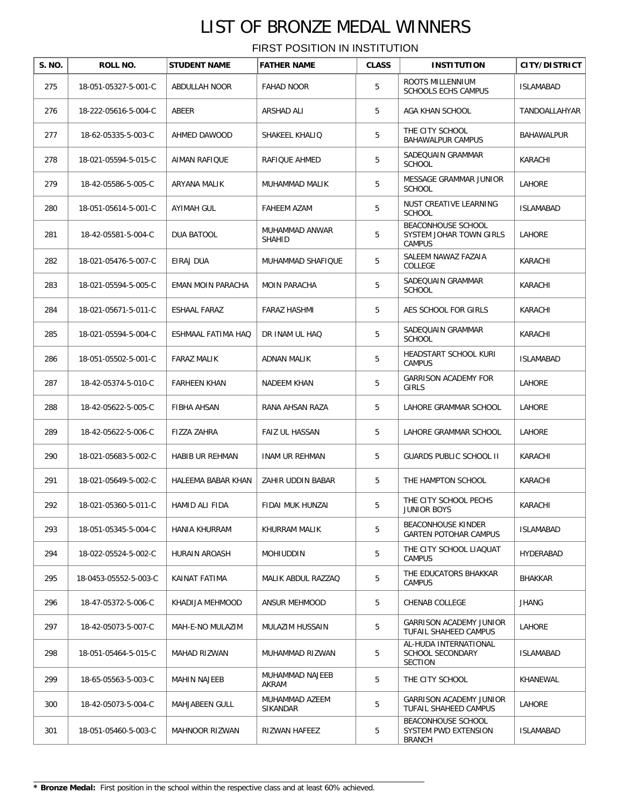| S. NO. | ROLL NO.              | <b>STUDENT NAME</b>   | <b>FATHER NAME</b>              | <b>CLASS</b> | <b>INSTITUTION</b>                                             | CITY/DISTRICT    |
|--------|-----------------------|-----------------------|---------------------------------|--------------|----------------------------------------------------------------|------------------|
| 275    | 18-051-05327-5-001-C  | ABDULLAH NOOR         | <b>FAHAD NOOR</b>               | 5            | ROOTS MILLENNIUM<br><b>SCHOOLS ECHS CAMPUS</b>                 | <b>ISLAMABAD</b> |
| 276    | 18-222-05616-5-004-C  | ABEER                 | ARSHAD ALI                      | 5            | AGA KHAN SCHOOL                                                | TANDOALLAHYAR    |
| 277    | 18-62-05335-5-003-C   | AHMED DAWOOD          | SHAKEEL KHALIQ                  | 5            | THE CITY SCHOOL<br><b>BAHAWALPUR CAMPUS</b>                    | BAHAWALPUR       |
| 278    | 18-021-05594-5-015-C  | AIMAN RAFIQUE         | RAFIQUE AHMED                   | 5            | SADEOUAIN GRAMMAR<br><b>SCHOOL</b>                             | KARACHI          |
| 279    | 18-42-05586-5-005-C   | ARYANA MALIK          | MUHAMMAD MALIK                  | 5            | MESSAGE GRAMMAR JUNIOR<br><b>SCHOOL</b>                        | <b>LAHORE</b>    |
| 280    | 18-051-05614-5-001-C  | AYIMAH GUL            | <b>FAHEEM AZAM</b>              | 5            | NUST CREATIVE LEARNING<br><b>SCHOOL</b>                        | <b>ISLAMABAD</b> |
| 281    | 18-42-05581-5-004-C   | DUA BATOOL            | MUHAMMAD ANWAR<br><b>SHAHID</b> | 5            | BEACONHOUSE SCHOOL<br>SYSTEM JOHAR TOWN GIRLS<br><b>CAMPUS</b> | LAHORE           |
| 282    | 18-021-05476-5-007-C  | EIRAJ DUA             | MUHAMMAD SHAFIQUE               | 5            | SALEEM NAWAZ FAZAIA<br><b>COLLEGE</b>                          | KARACHI          |
| 283    | 18-021-05594-5-005-C  | EMAN MOIN PARACHA     | <b>MOIN PARACHA</b>             | 5            | SADEQUAIN GRAMMAR<br><b>SCHOOL</b>                             | KARACHI          |
| 284    | 18-021-05671-5-011-C  | ESHAAL FARAZ          | <b>FARAZ HASHMI</b>             | 5            | AES SCHOOL FOR GIRLS                                           | KARACHI          |
| 285    | 18-021-05594-5-004-C  | ESHMAAL FATIMA HAQ    | DR INAM UL HAQ                  | 5            | SADEQUAIN GRAMMAR<br><b>SCHOOL</b>                             | KARACHI          |
| 286    | 18-051-05502-5-001-C  | <b>FARAZ MALIK</b>    | ADNAN MALIK                     | 5            | HEADSTART SCHOOL KURI<br><b>CAMPUS</b>                         | <b>ISLAMABAD</b> |
| 287    | 18-42-05374-5-010-C   | <b>FARHEEN KHAN</b>   | NADEEM KHAN                     | 5            | <b>GARRISON ACADEMY FOR</b><br><b>GIRLS</b>                    | LAHORE           |
| 288    | 18-42-05622-5-005-C   | FIBHA AHSAN           | RANA AHSAN RAZA                 | 5            | LAHORE GRAMMAR SCHOOL                                          | LAHORE           |
| 289    | 18-42-05622-5-006-C   | FIZZA ZAHRA           | FAIZ UL HASSAN                  | 5            | LAHORE GRAMMAR SCHOOL                                          | LAHORE           |
| 290    | 18-021-05683-5-002-C  | HABIB UR REHMAN       | INAM UR REHMAN                  | 5            | <b>GUARDS PUBLIC SCHOOL II</b>                                 | KARACHI          |
| 291    | 18-021-05649-5-002-C  | HALEEMA BABAR KHAN    | ZAHIR UDDIN BABAR               | 5            | THE HAMPTON SCHOOL                                             | KARACHI          |
| 292    | 18-021-05360-5-011-C  | HAMID ALI FIDA        | FIDAI MUK HUNZAI                | 5            | THE CITY SCHOOL PECHS<br>JUNIOR BOYS                           | KARACHI          |
| 293    | 18-051-05345-5-004-C  | HANIA KHURRAM         | KHURRAM MALIK                   | 5            | <b>BEACONHOUSE KINDER</b><br><b>GARTEN POTOHAR CAMPUS</b>      | <b>ISLAMABAD</b> |
| 294    | 18-022-05524-5-002-C  | HURAIN AROASH         | <b>MOHIUDDIN</b>                | 5            | THE CITY SCHOOL LIAQUAT<br><b>CAMPUS</b>                       | HYDERABAD        |
| 295    | 18-0453-05552-5-003-C | KAINAT FATIMA         | MALIK ABDUL RAZZAQ              | 5            | THE EDUCATORS BHAKKAR<br><b>CAMPUS</b>                         | BHAKKAR          |
| 296    | 18-47-05372-5-006-C   | KHADIJA MEHMOOD       | ANSUR MEHMOOD                   | 5            | CHENAB COLLEGE                                                 | <b>JHANG</b>     |
| 297    | 18-42-05073-5-007-C   | MAH-E-NO MULAZIM      | MULAZIM HUSSAIN                 | 5            | <b>GARRISON ACADEMY JUNIOR</b><br>TUFAIL SHAHEED CAMPUS        | LAHORE           |
| 298    | 18-051-05464-5-015-C  | MAHAD RIZWAN          | MUHAMMAD RIZWAN                 | 5            | AL-HUDA INTERNATIONAL<br>SCHOOL SECONDARY<br><b>SECTION</b>    | <b>ISLAMABAD</b> |
| 299    | 18-65-05563-5-003-C   | MAHIN NAJEEB          | MUHAMMAD NAJEEB<br>AKRAM        | 5            | THE CITY SCHOOL                                                | KHANEWAL         |
| 300    | 18-42-05073-5-004-C   | MAHJABEEN GULL        | MUHAMMAD AZEEM<br>SIKANDAR      | 5            | <b>GARRISON ACADEMY JUNIOR</b><br>TUFAIL SHAHEED CAMPUS        | LAHORE           |
| 301    | 18-051-05460-5-003-C  | <b>MAHNOOR RIZWAN</b> | RIZWAN HAFEEZ                   | 5            | BEACONHOUSE SCHOOL<br>SYSTEM PWD EXTENSION<br><b>BRANCH</b>    | <b>ISLAMABAD</b> |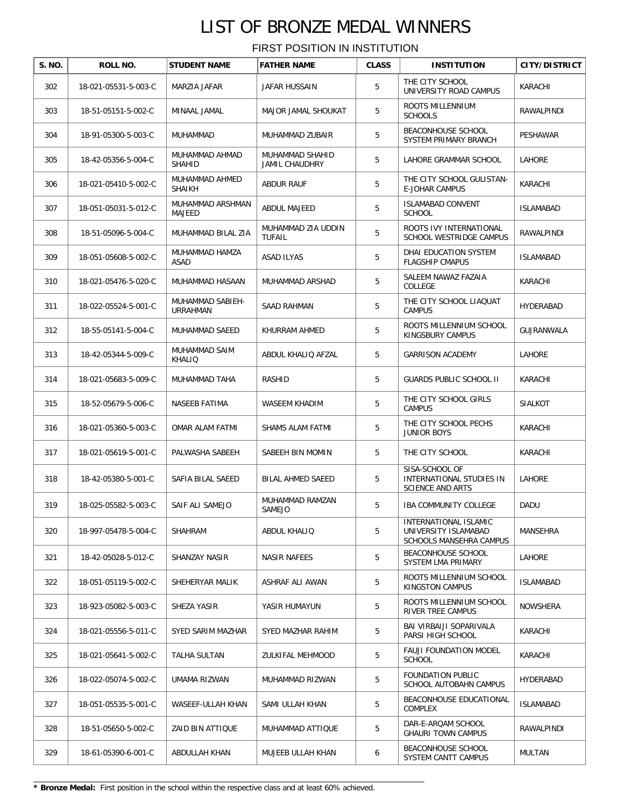FIRST POSITION IN INSTITUTION

| S. NO. | ROLL NO.             | <b>STUDENT NAME</b>                 | <b>FATHER NAME</b>                       | <b>CLASS</b> | <b>INSTITUTION</b>                                                       | <b>CITY/DISTRICT</b> |
|--------|----------------------|-------------------------------------|------------------------------------------|--------------|--------------------------------------------------------------------------|----------------------|
| 302    | 18-021-05531-5-003-C | MARZIA JAFAR                        | JAFAR HUSSAIN                            | 5            | THE CITY SCHOOL<br>UNIVERSITY ROAD CAMPUS                                | KARACHI              |
| 303    | 18-51-05151-5-002-C  | MINAAL JAMAL                        | MAJOR JAMAL SHOUKAT                      | 5            | ROOTS MILLENNIUM<br><b>SCHOOLS</b>                                       | RAWALPINDI           |
| 304    | 18-91-05300-5-003-C  | MUHAMMAD                            | MUHAMMAD ZUBAIR                          | 5            | BEACONHOUSE SCHOOL<br>SYSTEM PRIMARY BRANCH                              | PESHAWAR             |
| 305    | 18-42-05356-5-004-C  | MUHAMMAD AHMAD<br>SHAHID            | MUHAMMAD SHAHID<br><b>JAMIL CHAUDHRY</b> | 5            | LAHORE GRAMMAR SCHOOL                                                    | LAHORE               |
| 306    | 18-021-05410-5-002-C | MUHAMMAD AHMED<br><b>SHAIKH</b>     | ABDUR RAUF                               | 5            | THE CITY SCHOOL GULISTAN-<br><b>E-JOHAR CAMPUS</b>                       | KARACHI              |
| 307    | 18-051-05031-5-012-C | MUHAMMAD ARSHMAN<br>MAJEED          | ABDUL MAJEED                             | 5            | <b>ISLAMABAD CONVENT</b><br><b>SCHOOL</b>                                | <b>ISLAMABAD</b>     |
| 308    | 18-51-05096-5-004-C  | MUHAMMAD BILAL ZIA                  | MUHAMMAD ZIA UDDIN<br><b>TUFAIL</b>      | 5            | ROOTS IVY INTERNATIONAL<br>SCHOOL WESTRIDGE CAMPUS                       | RAWALPINDI           |
| 309    | 18-051-05608-5-002-C | MUHAMMAD HAMZA<br>ASAD              | ASAD ILYAS                               | 5            | DHAI EDUCATION SYSTEM<br><b>FLAGSHIP CMAPUS</b>                          | <b>ISLAMABAD</b>     |
| 310    | 18-021-05476-5-020-C | MUHAMMAD HASAAN                     | MUHAMMAD ARSHAD                          | 5            | SALEEM NAWAZ FAZAIA<br>COLLEGE                                           | KARACHI              |
| 311    | 18-022-05524-5-001-C | MUHAMMAD SABIEH-<br><b>URRAHMAN</b> | SAAD RAHMAN                              | 5            | THE CITY SCHOOL LIAQUAT<br><b>CAMPUS</b>                                 | HYDERABAD            |
| 312    | 18-55-05141-5-004-C  | MUHAMMAD SAEED                      | KHURRAM AHMED                            | 5            | ROOTS MILLENNIUM SCHOOL<br>KINGSBURY CAMPUS                              | GUJRANWALA           |
| 313    | 18-42-05344-5-009-C  | MUHAMMAD SAIM<br>KHALIQ             | ABDUL KHALIQ AFZAL                       | 5            | <b>GARRISON ACADEMY</b>                                                  | LAHORE               |
| 314    | 18-021-05683-5-009-C | MUHAMMAD TAHA                       | RASHID                                   | 5            | GUARDS PUBLIC SCHOOL II                                                  | KARACHI              |
| 315    | 18-52-05679-5-006-C  | NASEEB FATIMA                       | WASEEM KHADIM                            | 5            | THE CITY SCHOOL GIRLS<br><b>CAMPUS</b>                                   | <b>SIALKOT</b>       |
| 316    | 18-021-05360-5-003-C | OMAR ALAM FATMI                     | SHAMS ALAM FATMI                         | 5            | THE CITY SCHOOL PECHS<br><b>JUNIOR BOYS</b>                              | KARACHI              |
| 317    | 18-021-05619-5-001-C | PALWASHA SABEEH                     | SABEEH BIN MOMIN                         | 5            | THE CITY SCHOOL                                                          | KARACHI              |
| 318    | 18-42-05380-5-001-C  | SAFIA BILAL SAEED                   | BILAL AHMED SAEED                        | 5            | SISA-SCHOOL OF<br>INTERNATIONAL STUDIES IN<br><b>SCIENCE AND ARTS</b>    | LAHORE               |
| 319    | 18-025-05582-5-003-C | SAIF ALI SAMEJO                     | MUHAMMAD RAMZAN<br>SAMEJO                | 5            | <b>IBA COMMUNITY COLLEGE</b>                                             | DADU                 |
| 320    | 18-997-05478-5-004-C | <b>SHAHRAM</b>                      | ABDUL KHALIQ                             | 5            | INTERNATIONAL ISLAMIC<br>UNIVERSITY ISLAMABAD<br>SCHOOLS MANSEHRA CAMPUS | MANSEHRA             |
| 321    | 18-42-05028-5-012-C  | SHANZAY NASIR                       | <b>NASIR NAFEES</b>                      | 5            | <b>BEACONHOUSE SCHOOL</b><br>SYSTEM LMA PRIMARY                          | <b>LAHORE</b>        |
| 322    | 18-051-05119-5-002-C | SHEHERYAR MALIK                     | ASHRAF ALI AWAN                          | 5            | ROOTS MILLENNIUM SCHOOL<br>KINGSTON CAMPUS                               | <b>ISLAMABAD</b>     |
| 323    | 18-923-05082-5-003-C | SHEZA YASIR                         | YASIR HUMAYUN                            | 5            | ROOTS MILLENNIUM SCHOOL<br>RIVER TREE CAMPUS                             | <b>NOWSHERA</b>      |
| 324    | 18-021-05556-5-011-C | SYED SARIM MAZHAR                   | SYED MAZHAR RAHIM                        | 5            | BAI VIRBAIJI SOPARIVALA<br>PARSI HIGH SCHOOL                             | KARACHI              |
| 325    | 18-021-05641-5-002-C | TALHA SULTAN                        | ZULKIFAL MEHMOOD                         | 5            | <b>FAUJI FOUNDATION MODEL</b><br><b>SCHOOL</b>                           | KARACHI              |
| 326    | 18-022-05074-5-002-C | UMAMA RIZWAN                        | MUHAMMAD RIZWAN                          | 5            | FOUNDATION PUBLIC<br>SCHOOL AUTOBAHN CAMPUS                              | HYDERABAD            |
| 327    | 18-051-05535-5-001-C | WASEEF-ULLAH KHAN                   | SAMI ULLAH KHAN                          | 5            | BEACONHOUSE EDUCATIONAL<br>COMPLEX                                       | <b>ISLAMABAD</b>     |
| 328    | 18-51-05650-5-002-C  | ZAID BIN ATTIQUE                    | MUHAMMAD ATTIQUE                         | 5            | DAR-E-ARQAM SCHOOL<br><b>GHAURI TOWN CAMPUS</b>                          | RAWALPINDI           |
| 329    | 18-61-05390-6-001-C  | ABDULLAH KHAN                       | MUJEEB ULLAH KHAN                        | 6            | BEACONHOUSE SCHOOL<br>SYSTEM CANTT CAMPUS                                | MULTAN               |

**\* Bronze Medal:** First position in the school within the respective class and at least 60% achieved.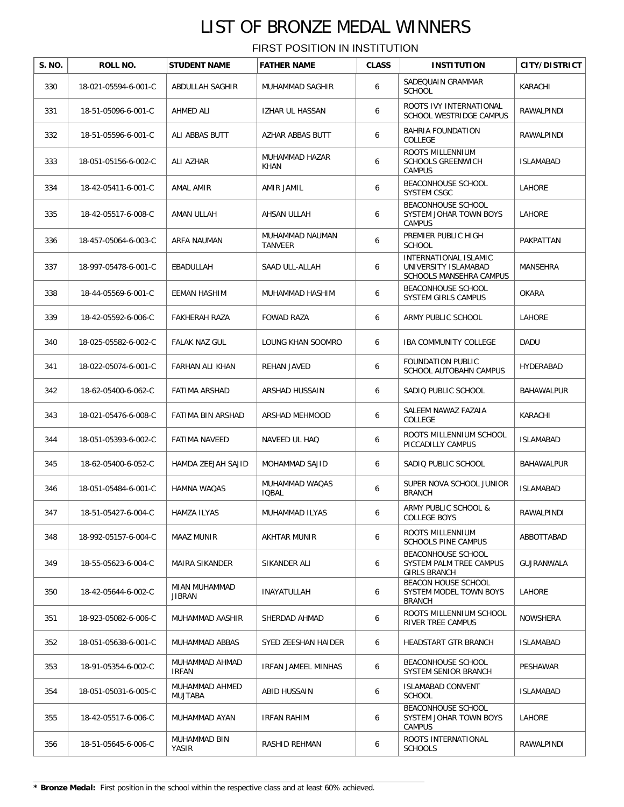| S. NO. | ROLL NO.             | <b>STUDENT NAME</b>            | <b>FATHER NAME</b>             | <b>CLASS</b> | <b>INSTITUTION</b>                                                              | CITY/DISTRICT    |
|--------|----------------------|--------------------------------|--------------------------------|--------------|---------------------------------------------------------------------------------|------------------|
| 330    | 18-021-05594-6-001-C | ABDULLAH SAGHIR                | MUHAMMAD SAGHIR                | 6            | SADEQUAIN GRAMMAR<br><b>SCHOOL</b>                                              | KARACHI          |
| 331    | 18-51-05096-6-001-C  | AHMED ALI                      | IZHAR UL HASSAN                | 6            | ROOTS IVY INTERNATIONAL<br>SCHOOL WESTRIDGE CAMPUS                              | RAWALPINDI       |
| 332    | 18-51-05596-6-001-C  | ALI ABBAS BUTT                 | AZHAR ABBAS BUTT               | 6            | BAHRIA FOUNDATION<br>COLLEGE                                                    | RAWALPINDI       |
| 333    | 18-051-05156-6-002-C | ALI AZHAR                      | MUHAMMAD HAZAR<br><b>KHAN</b>  | 6            | ROOTS MILLENNIUM<br><b>SCHOOLS GREENWICH</b><br><b>CAMPUS</b>                   | <b>ISLAMABAD</b> |
| 334    | 18-42-05411-6-001-C  | AMAL AMIR                      | AMIR JAMIL                     | 6            | <b>BEACONHOUSE SCHOOL</b><br><b>SYSTEM CSGC</b>                                 | LAHORE           |
| 335    | 18-42-05517-6-008-C  | AMAN ULLAH                     | AHSAN ULLAH                    | 6            | BEACONHOUSE SCHOOL<br>SYSTEM JOHAR TOWN BOYS<br><b>CAMPUS</b>                   | LAHORE           |
| 336    | 18-457-05064-6-003-C | ARFA NAUMAN                    | MUHAMMAD NAUMAN<br>TANVEER     | 6            | PREMIER PUBLIC HIGH<br><b>SCHOOL</b>                                            | PAKPATTAN        |
| 337    | 18-997-05478-6-001-C | EBADULLAH                      | SAAD ULL-ALLAH                 | 6            | INTERNATIONAL ISLAMIC<br>UNIVERSITY ISLAMABAD<br><b>SCHOOLS MANSEHRA CAMPUS</b> | MANSEHRA         |
| 338    | 18-44-05569-6-001-C  | EEMAN HASHIM                   | MUHAMMAD HASHIM                | 6            | <b>BEACONHOUSE SCHOOL</b><br>SYSTEM GIRLS CAMPUS                                | <b>OKARA</b>     |
| 339    | 18-42-05592-6-006-C  | <b>FAKHERAH RAZA</b>           | <b>FOWAD RAZA</b>              | 6            | ARMY PUBLIC SCHOOL                                                              | LAHORE           |
| 340    | 18-025-05582-6-002-C | FALAK NAZ GUL                  | LOUNG KHAN SOOMRO              | 6            | <b>IBA COMMUNITY COLLEGE</b>                                                    | DADU             |
| 341    | 18-022-05074-6-001-C | FARHAN ALI KHAN                | REHAN JAVED                    | 6            | FOUNDATION PUBLIC<br>SCHOOL AUTOBAHN CAMPUS                                     | HYDERABAD        |
| 342    | 18-62-05400-6-062-C  | FATIMA ARSHAD                  | ARSHAD HUSSAIN                 | 6            | SADIQ PUBLIC SCHOOL                                                             | BAHAWALPUR       |
| 343    | 18-021-05476-6-008-C | FATIMA BIN ARSHAD              | ARSHAD MEHMOOD                 | 6            | SALEEM NAWAZ FAZAIA<br>COLLEGE                                                  | KARACHI          |
| 344    | 18-051-05393-6-002-C | FATIMA NAVEED                  | NAVEED UL HAQ                  | 6            | ROOTS MILLENNIUM SCHOOL<br>PICCADILLY CAMPUS                                    | <b>ISLAMABAD</b> |
| 345    | 18-62-05400-6-052-C  | HAMDA ZEEJAH SAJID             | MOHAMMAD SAJID                 | 6            | SADIQ PUBLIC SCHOOL                                                             | BAHAWALPUR       |
| 346    | 18-051-05484-6-001-C | HAMNA WAQAS                    | MUHAMMAD WAQAS<br><b>IQBAL</b> | 6            | SUPER NOVA SCHOOL JUNIOR<br><b>BRANCH</b>                                       | <b>ISLAMABAD</b> |
| 347    | 18-51-05427-6-004-C  | HAMZA ILYAS                    | MUHAMMAD ILYAS                 | 6            | ARMY PUBLIC SCHOOL &<br><b>COLLEGE BOYS</b>                                     | RAWALPINDI       |
| 348    | 18-992-05157-6-004-C | MAAZ MUNIR                     | <b>AKHTAR MUNIR</b>            | 6            | ROOTS MILLENNIUM<br>SCHOOLS PINE CAMPUS                                         | ABBOTTABAD       |
| 349    | 18-55-05623-6-004-C  | MAIRA SIKANDER                 | SIKANDER ALI                   | 6            | BEACONHOUSE SCHOOL<br>SYSTEM PALM TREE CAMPUS<br><b>GIRLS BRANCH</b>            | GUJRANWALA       |
| 350    | 18-42-05644-6-002-C  | MIAN MUHAMMAD<br><b>JIBRAN</b> | <b>INAYATULLAH</b>             | 6            | BEACON HOUSE SCHOOL<br>SYSTEM MODEL TOWN BOYS<br><b>BRANCH</b>                  | LAHORE           |
| 351    | 18-923-05082-6-006-C | MUHAMMAD AASHIR                | SHERDAD AHMAD                  | 6            | ROOTS MILLENNIUM SCHOOL<br>RIVER TREE CAMPUS                                    | <b>NOWSHERA</b>  |
| 352    | 18-051-05638-6-001-C | MUHAMMAD ABBAS                 | SYED ZEESHAN HAIDER            | 6            | HEADSTART GTR BRANCH                                                            | <b>ISLAMABAD</b> |
| 353    | 18-91-05354-6-002-C  | MUHAMMAD AHMAD<br><b>IRFAN</b> | IRFAN JAMEEL MINHAS            | 6            | BEACONHOUSE SCHOOL<br>SYSTEM SENIOR BRANCH                                      | PESHAWAR         |
| 354    | 18-051-05031-6-005-C | MUHAMMAD AHMED<br>MUJTABA      | ABID HUSSAIN                   | 6            | ISLAMABAD CONVENT<br><b>SCHOOL</b>                                              | ISLAMABAD        |
| 355    | 18-42-05517-6-006-C  | MUHAMMAD AYAN                  | IRFAN RAHIM                    | 6            | BEACONHOUSE SCHOOL<br>SYSTEM JOHAR TOWN BOYS<br><b>CAMPUS</b>                   | LAHORE           |
| 356    | 18-51-05645-6-006-C  | MUHAMMAD BIN<br>YASIR          | RASHID REHMAN                  | 6            | ROOTS INTERNATIONAL<br><b>SCHOOLS</b>                                           | RAWALPINDI       |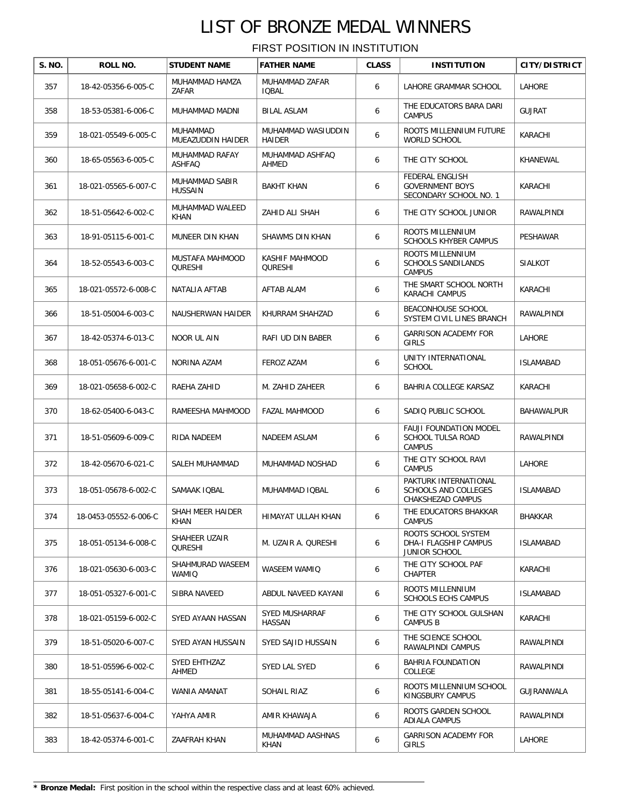| S. NO. | ROLL NO.              | <b>STUDENT NAME</b>              | <b>FATHER NAME</b>              | <b>CLASS</b> | <b>INSTITUTION</b>                                                  | <b>CITY/DISTRICT</b> |
|--------|-----------------------|----------------------------------|---------------------------------|--------------|---------------------------------------------------------------------|----------------------|
|        |                       |                                  |                                 |              |                                                                     |                      |
| 357    | 18-42-05356-6-005-C   | MUHAMMAD HAMZA<br>ZAFAR          | MUHAMMAD ZAFAR<br><b>IOBAL</b>  | 6            | LAHORE GRAMMAR SCHOOL                                               | <b>LAHORE</b>        |
| 358    | 18-53-05381-6-006-C   | MUHAMMAD MADNI                   | <b>BILAL ASLAM</b>              | 6            | THE EDUCATORS BARA DARI<br><b>CAMPUS</b>                            | <b>GUJRAT</b>        |
| 359    | 18-021-05549-6-005-C  | MUHAMMAD<br>MUEAZUDDIN HAIDER    | MUHAMMAD WASIUDDIN<br>HAIDER    | 6            | ROOTS MILLENNIUM FUTURE<br>WORLD SCHOOL                             | KARACHI              |
| 360    | 18-65-05563-6-005-C   | MUHAMMAD RAFAY<br><b>ASHFAQ</b>  | MUHAMMAD ASHFAQ<br><b>AHMED</b> | 6            | THE CITY SCHOOL                                                     | KHANEWAL             |
| 361    | 18-021-05565-6-007-C  | MUHAMMAD SABIR<br><b>HUSSAIN</b> | <b>BAKHT KHAN</b>               | 6            | FEDERAL ENGLISH<br><b>GOVERNMENT BOYS</b><br>SECONDARY SCHOOL NO. 1 | KARACHI              |
| 362    | 18-51-05642-6-002-C   | MUHAMMAD WALEED<br>KHAN          | ZAHID ALI SHAH                  | 6            | THE CITY SCHOOL JUNIOR                                              | RAWALPINDI           |
| 363    | 18-91-05115-6-001-C   | MUNEER DIN KHAN                  | SHAWMS DIN KHAN                 | 6            | ROOTS MILLENNIUM<br>SCHOOLS KHYBER CAMPUS                           | PESHAWAR             |
| 364    | 18-52-05543-6-003-C   | MUSTAFA MAHMOOD<br>QURESHI       | KASHIF MAHMOOD<br>QURESHI       | 6            | ROOTS MILLENNIUM<br><b>SCHOOLS SANDILANDS</b><br><b>CAMPUS</b>      | <b>SIALKOT</b>       |
| 365    | 18-021-05572-6-008-C  | NATALIA AFTAB                    | AFTAB ALAM                      | 6            | THE SMART SCHOOL NORTH<br><b>KARACHI CAMPUS</b>                     | KARACHI              |
| 366    | 18-51-05004-6-003-C   | NAUSHERWAN HAIDER                | KHURRAM SHAHZAD                 | 6            | BEACONHOUSE SCHOOL<br>SYSTEM CIVIL LINES BRANCH                     | RAWALPINDI           |
| 367    | 18-42-05374-6-013-C   | NOOR UL AIN                      | RAFI UD DIN BABER               | 6            | <b>GARRISON ACADEMY FOR</b><br><b>GIRLS</b>                         | LAHORE               |
| 368    | 18-051-05676-6-001-C  | NORINA AZAM                      | FEROZ AZAM                      | 6            | UNITY INTERNATIONAL<br><b>SCHOOL</b>                                | <b>ISLAMABAD</b>     |
| 369    | 18-021-05658-6-002-C  | RAEHA ZAHID                      | M. ZAHID ZAHEER                 | 6            | BAHRIA COLLEGE KARSAZ                                               | KARACHI              |
| 370    | 18-62-05400-6-043-C   | RAMEESHA MAHMOOD                 | <b>FAZAL MAHMOOD</b>            | 6            | SADIQ PUBLIC SCHOOL                                                 | BAHAWALPUR           |
| 371    | 18-51-05609-6-009-C   | RIDA NADEEM                      | NADEEM ASLAM                    | 6            | <b>FAUJI FOUNDATION MODEL</b><br>SCHOOL TULSA ROAD<br><b>CAMPUS</b> | RAWALPINDI           |
| 372    | 18-42-05670-6-021-C   | SALEH MUHAMMAD                   | MUHAMMAD NOSHAD                 | 6            | THE CITY SCHOOL RAVI<br><b>CAMPUS</b>                               | LAHORE               |
| 373    | 18-051-05678-6-002-C  | SAMAAK IQBAL                     | MUHAMMAD IQBAL                  | 6            | PAKTURK INTERNATIONAL<br>SCHOOLS AND COLLEGES<br>CHAKSHEZAD CAMPUS  | <b>ISLAMABAD</b>     |
| 374    | 18-0453-05552-6-006-C | SHAH MEER HAIDER<br>KHAN         | HIMAYAT ULLAH KHAN              | 6            | THE EDUCATORS BHAKKAR<br><b>CAMPUS</b>                              | BHAKKAR              |
| 375    | 18-051-05134-6-008-C  | SHAHEER UZAIR<br>QURESHI         | M. UZAIR A. QURESHI             | 6            | ROOTS SCHOOL SYSTEM<br>DHA-I FLAGSHIP CAMPUS<br>JUNIOR SCHOOL       | ISLAMABAD            |
| 376    | 18-021-05630-6-003-C  | SHAHMURAD WASEEM<br><b>WAMIQ</b> | WASEEM WAMIQ                    | 6            | THE CITY SCHOOL PAF<br>CHAPTER                                      | KARACHI              |
| 377    | 18-051-05327-6-001-C  | SIBRA NAVEED                     | ABDUL NAVEED KAYANI             | 6            | ROOTS MILLENNIUM<br><b>SCHOOLS ECHS CAMPUS</b>                      | <b>ISLAMABAD</b>     |
| 378    | 18-021-05159-6-002-C  | SYED AYAAN HASSAN                | SYED MUSHARRAF<br>HASSAN        | 6            | THE CITY SCHOOL GULSHAN<br>CAMPUS B                                 | KARACHI              |
| 379    | 18-51-05020-6-007-C   | SYED AYAN HUSSAIN                | SYED SAJID HUSSAIN              | 6            | THE SCIENCE SCHOOL<br>RAWALPINDI CAMPUS                             | RAWALPINDI           |
| 380    | 18-51-05596-6-002-C   | SYED EHTHZAZ<br>AHMED            | SYED LAL SYED                   | 6            | BAHRIA FOUNDATION<br>COLLEGE                                        | RAWALPINDI           |
| 381    | 18-55-05141-6-004-C   | WANIA AMANAT                     | SOHAIL RIAZ                     | 6            | ROOTS MILLENNIUM SCHOOL<br>KINGSBURY CAMPUS                         | GUJRANWALA           |
| 382    | 18-51-05637-6-004-C   | YAHYA AMIR                       | AMIR KHAWAJA                    | 6            | ROOTS GARDEN SCHOOL<br>ADIALA CAMPUS                                | RAWALPINDI           |
| 383    | 18-42-05374-6-001-C   | ZAAFRAH KHAN                     | MUHAMMAD AASHNAS<br>KHAN        | 6            | GARRISON ACADEMY FOR<br><b>GIRLS</b>                                | LAHORE               |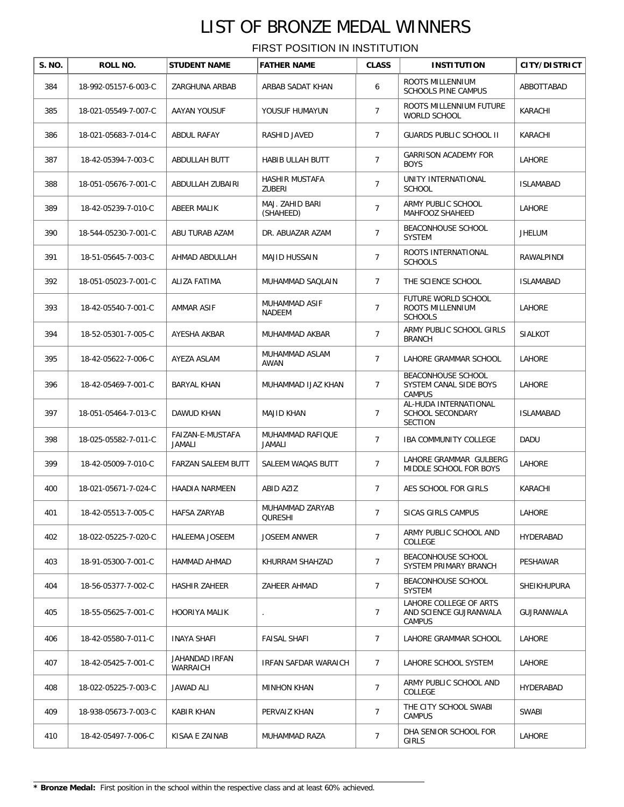| S. NO. | ROLL NO.             | <b>STUDENT NAME</b>        | <b>FATHER NAME</b>              | <b>CLASS</b>   | <b>INSTITUTION</b>                                               | CITY/DISTRICT      |
|--------|----------------------|----------------------------|---------------------------------|----------------|------------------------------------------------------------------|--------------------|
| 384    | 18-992-05157-6-003-C | ZARGHUNA ARBAB             | ARBAB SADAT KHAN                | 6              | ROOTS MILLENNIUM<br><b>SCHOOLS PINE CAMPUS</b>                   | ABBOTTABAD         |
| 385    | 18-021-05549-7-007-C | AAYAN YOUSUF               | YOUSUF HUMAYUN                  | $\overline{7}$ | ROOTS MILLENNIUM FUTURE<br><b>WORLD SCHOOL</b>                   | KARACHI            |
| 386    | 18-021-05683-7-014-C | ABDUL RAFAY                | RASHID JAVED                    | $\overline{7}$ | GUARDS PUBLIC SCHOOL II                                          | KARACHI            |
| 387    | 18-42-05394-7-003-C  | ABDULLAH BUTT              | HABIB ULLAH BUTT                | $\overline{7}$ | <b>GARRISON ACADEMY FOR</b><br><b>BOYS</b>                       | LAHORE             |
| 388    | 18-051-05676-7-001-C | ABDULLAH ZUBAIRI           | HASHIR MUSTAFA<br><b>ZUBERI</b> | $\overline{7}$ | UNITY INTERNATIONAL<br><b>SCHOOL</b>                             | <b>ISLAMABAD</b>   |
| 389    | 18-42-05239-7-010-C  | ABEER MALIK                | MAJ. ZAHID BARI<br>(SHAHEED)    | $\overline{7}$ | ARMY PUBLIC SCHOOL<br>MAHFOOZ SHAHEED                            | LAHORE             |
| 390    | 18-544-05230-7-001-C | ABU TURAB AZAM             | DR. ABUAZAR AZAM                | $\overline{7}$ | BEACONHOUSE SCHOOL<br><b>SYSTEM</b>                              | <b>JHELUM</b>      |
| 391    | 18-51-05645-7-003-C  | AHMAD ABDULLAH             | MAJID HUSSAIN                   | $\overline{7}$ | ROOTS INTERNATIONAL<br><b>SCHOOLS</b>                            | RAWALPINDI         |
| 392    | 18-051-05023-7-001-C | ALIZA FATIMA               | MUHAMMAD SAQLAIN                | 7              | THE SCIENCE SCHOOL                                               | <b>ISLAMABAD</b>   |
| 393    | 18-42-05540-7-001-C  | AMMAR ASIF                 | MUHAMMAD ASIF<br>NADEEM         | $\overline{7}$ | FUTURE WORLD SCHOOL<br><b>ROOTS MILLENNIUM</b><br><b>SCHOOLS</b> | LAHORE             |
| 394    | 18-52-05301-7-005-C  | AYESHA AKBAR               | MUHAMMAD AKBAR                  | $\overline{7}$ | ARMY PUBLIC SCHOOL GIRLS<br><b>BRANCH</b>                        | <b>SIALKOT</b>     |
| 395    | 18-42-05622-7-006-C  | AYEZA ASLAM                | MUHAMMAD ASLAM<br>AWAN          | $\overline{7}$ | LAHORE GRAMMAR SCHOOL                                            | LAHORE             |
| 396    | 18-42-05469-7-001-C  | <b>BARYAL KHAN</b>         | MUHAMMAD IJAZ KHAN              | $\overline{7}$ | BEACONHOUSE SCHOOL<br>SYSTEM CANAL SIDE BOYS<br><b>CAMPUS</b>    | LAHORE             |
| 397    | 18-051-05464-7-013-C | DAWUD KHAN                 | <b>MAJID KHAN</b>               | $\overline{7}$ | AL-HUDA INTERNATIONAL<br>SCHOOL SECONDARY<br><b>SECTION</b>      | <b>ISLAMABAD</b>   |
| 398    | 18-025-05582-7-011-C | FAIZAN-E-MUSTAFA<br>JAMALI | MUHAMMAD RAFIQUE<br>JAMALI      | $\overline{7}$ | <b>IBA COMMUNITY COLLEGE</b>                                     | DADU               |
| 399    | 18-42-05009-7-010-C  | FARZAN SALEEM BUTT         | SALEEM WAQAS BUTT               | $\overline{7}$ | LAHORE GRAMMAR GULBERG<br>MIDDLE SCHOOL FOR BOYS                 | LAHORE             |
| 400    | 18-021-05671-7-024-C | HAADIA NARMEEN             | ABID AZIZ                       | $\overline{7}$ | AES SCHOOL FOR GIRLS                                             | KARACHI            |
| 401    | 18-42-05513-7-005-C  | HAFSA ZARYAB               | MUHAMMAD ZARYAB<br>QURESHI      | 7              | SICAS GIRLS CAMPUS                                               | LAHORE             |
| 402    | 18-022-05225-7-020-C | <b>HALEEMA JOSEEM</b>      | <b>JOSEEM ANWER</b>             | $\overline{7}$ | ARMY PUBLIC SCHOOL AND<br>COLLEGE                                | HYDERABAD          |
| 403    | 18-91-05300-7-001-C  | HAMMAD AHMAD               | KHURRAM SHAHZAD                 | $\overline{7}$ | BEACONHOUSE SCHOOL<br>SYSTEM PRIMARY BRANCH                      | PESHAWAR           |
| 404    | 18-56-05377-7-002-C  | HASHIR ZAHEER              | ZAHEER AHMAD                    | $\overline{7}$ | BEACONHOUSE SCHOOL<br>SYSTEM                                     | <b>SHEIKHUPURA</b> |
| 405    | 18-55-05625-7-001-C  | HOORIYA MALIK              |                                 | $\overline{7}$ | LAHORE COLLEGE OF ARTS<br>AND SCIENCE GUJRANWALA<br>CAMPUS       | GUJRANWALA         |
| 406    | 18-42-05580-7-011-C  | INAYA SHAFI                | FAISAL SHAFI                    | $\overline{7}$ | LAHORE GRAMMAR SCHOOL                                            | LAHORE             |
| 407    | 18-42-05425-7-001-C  | JAHANDAD IRFAN<br>WARRAICH | IRFAN SAFDAR WARAICH            | $7^{\circ}$    | LAHORE SCHOOL SYSTEM                                             | LAHORE             |
| 408    | 18-022-05225-7-003-C | JAWAD ALI                  | <b>MINHON KHAN</b>              | $\overline{7}$ | ARMY PUBLIC SCHOOL AND<br>COLLEGE                                | HYDERABAD          |
| 409    | 18-938-05673-7-003-C | KABIR KHAN                 | PERVAIZ KHAN                    | 7              | THE CITY SCHOOL SWABI<br><b>CAMPUS</b>                           | SWABI              |
| 410    | 18-42-05497-7-006-C  | KISAA E ZAINAB             | MUHAMMAD RAZA                   | 7              | DHA SENIOR SCHOOL FOR<br>GIRLS                                   | LAHORE             |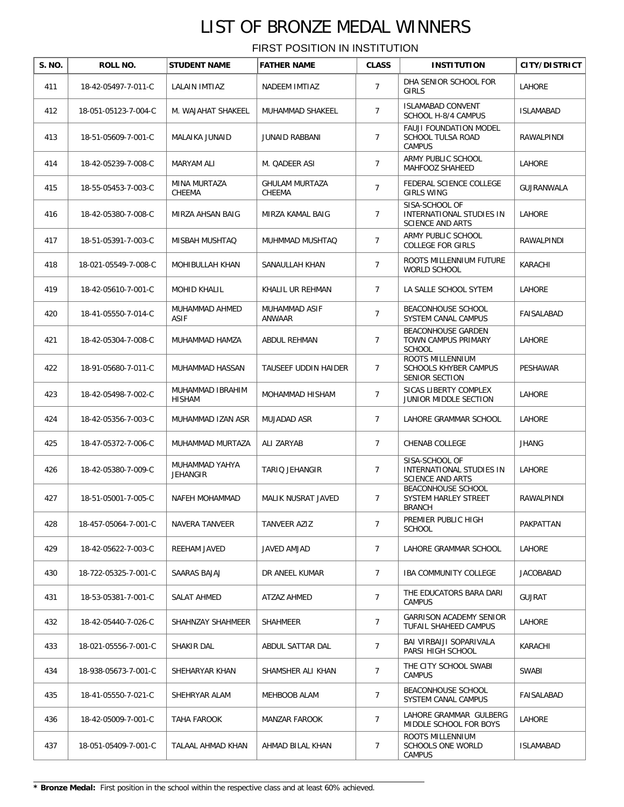| S. NO. | ROLL NO.             | <b>STUDENT NAME</b>               | <b>FATHER NAME</b>              | <b>CLASS</b>   | <b>INSTITUTION</b>                                                    | <b>CITY/DISTRICT</b> |
|--------|----------------------|-----------------------------------|---------------------------------|----------------|-----------------------------------------------------------------------|----------------------|
| 411    | 18-42-05497-7-011-C  | <b>LALAIN IMTIAZ</b>              | NADEEM IMTIAZ                   | $\overline{7}$ | DHA SENIOR SCHOOL FOR<br><b>GIRLS</b>                                 | LAHORE               |
| 412    | 18-051-05123-7-004-C | M. WAJAHAT SHAKEEL                | MUHAMMAD SHAKEEL                | $\overline{7}$ | <b>ISLAMABAD CONVENT</b><br>SCHOOL H-8/4 CAMPUS                       | <b>ISLAMABAD</b>     |
| 413    | 18-51-05609-7-001-C  | MALAIKA JUNAID                    | <b>JUNAID RABBANI</b>           | 7              | <b>FAUJI FOUNDATION MODEL</b><br>SCHOOL TULSA ROAD<br><b>CAMPUS</b>   | RAWALPINDI           |
| 414    | 18-42-05239-7-008-C  | MARYAM ALI                        | M. QADEER ASI                   | $\overline{7}$ | ARMY PUBLIC SCHOOL<br>MAHFOOZ SHAHEED                                 | LAHORE               |
| 415    | 18-55-05453-7-003-C  | MINA MURTAZA<br>CHEEMA            | <b>GHULAM MURTAZA</b><br>CHEEMA | $\overline{7}$ | FEDERAL SCIENCE COLLEGE<br><b>GIRLS WING</b>                          | <b>GUJRANWALA</b>    |
| 416    | 18-42-05380-7-008-C  | MIRZA AHSAN BAIG                  | MIRZA KAMAL BAIG                | 7              | SISA-SCHOOL OF<br>INTERNATIONAL STUDIES IN<br><b>SCIENCE AND ARTS</b> | LAHORE               |
| 417    | 18-51-05391-7-003-C  | MISBAH MUSHTAQ                    | MUHMMAD MUSHTAQ                 | $\overline{7}$ | ARMY PUBLIC SCHOOL<br><b>COLLEGE FOR GIRLS</b>                        | RAWALPINDI           |
| 418    | 18-021-05549-7-008-C | MOHIBULLAH KHAN                   | SANAULLAH KHAN                  | $\overline{7}$ | ROOTS MILLENNIUM FUTURE<br><b>WORLD SCHOOL</b>                        | KARACHI              |
| 419    | 18-42-05610-7-001-C  | <b>MOHID KHALIL</b>               | KHALIL UR REHMAN                | $\overline{7}$ | LA SALLE SCHOOL SYTEM                                                 | <b>LAHORE</b>        |
| 420    | 18-41-05550-7-014-C  | MUHAMMAD AHMED<br><b>ASIF</b>     | MUHAMMAD ASIF<br><b>ANWAAR</b>  | $\overline{7}$ | BEACONHOUSE SCHOOL<br>SYSTEM CANAL CAMPUS                             | FAISALABAD           |
| 421    | 18-42-05304-7-008-C  | MUHAMMAD HAMZA                    | ABDUL REHMAN                    | $\overline{7}$ | <b>BEACONHOUSE GARDEN</b><br>TOWN CAMPUS PRIMARY<br><b>SCHOOL</b>     | LAHORE               |
| 422    | 18-91-05680-7-011-C  | MUHAMMAD HASSAN                   | TAUSEEF UDDIN HAIDER            | 7              | ROOTS MILLENNIUM<br><b>SCHOOLS KHYBER CAMPUS</b><br>SENIOR SECTION    | PESHAWAR             |
| 423    | 18-42-05498-7-002-C  | MUHAMMAD IBRAHIM<br>HISHAM        | MOHAMMAD HISHAM                 | $\overline{7}$ | SICAS LIBERTY COMPLEX<br>JUNIOR MIDDLE SECTION                        | LAHORE               |
| 424    | 18-42-05356-7-003-C  | MUHAMMAD IZAN ASR                 | MUJADAD ASR                     | $\overline{7}$ | LAHORE GRAMMAR SCHOOL                                                 | LAHORE               |
| 425    | 18-47-05372-7-006-C  | MUHAMMAD MURTAZA                  | ALI ZARYAB                      | 7              | CHENAB COLLEGE                                                        | JHANG                |
| 426    | 18-42-05380-7-009-C  | MUHAMMAD YAHYA<br><b>JEHANGIR</b> | TARIQ JEHANGIR                  | $\overline{7}$ | SISA-SCHOOL OF<br>INTERNATIONAL STUDIES IN<br><b>SCIENCE AND ARTS</b> | LAHORE               |
| 427    | 18-51-05001-7-005-C  | NAFEH MOHAMMAD                    | MALIK NUSRAT JAVED              | $\overline{7}$ | BEACONHOUSE SCHOOL<br>SYSTEM HARLEY STREET<br><b>BRANCH</b>           | RAWALPINDI           |
| 428    | 18-457-05064-7-001-C | NAVERA TANVEER                    | TANVEER AZIZ                    | $\overline{7}$ | PREMIER PUBLIC HIGH<br><b>SCHOOL</b>                                  | PAKPATTAN            |
| 429    | 18-42-05622-7-003-C  | REEHAM JAVED                      | JAVED AMJAD                     | $\overline{7}$ | LAHORE GRAMMAR SCHOOL                                                 | LAHORE               |
| 430    | 18-722-05325-7-001-C | SAARAS BAJAJ                      | DR ANEEL KUMAR                  | $\overline{7}$ | <b>IBA COMMUNITY COLLEGE</b>                                          | <b>JACOBABAD</b>     |
| 431    | 18-53-05381-7-001-C  | SALAT AHMED                       | ATZAZ AHMED                     | $\overline{7}$ | THE EDUCATORS BARA DARI<br><b>CAMPUS</b>                              | <b>GUJRAT</b>        |
| 432    | 18-42-05440-7-026-C  | SHAHNZAY SHAHMEER                 | SHAHMEER                        | $\overline{7}$ | <b>GARRISON ACADEMY SENIOR</b><br>TUFAIL SHAHEED CAMPUS               | LAHORE               |
| 433    | 18-021-05556-7-001-C | SHAKIR DAL                        | ABDUL SATTAR DAL                | $\overline{7}$ | BAI VIRBAIJI SOPARIVALA<br>PARSI HIGH SCHOOL                          | KARACHI              |
| 434    | 18-938-05673-7-001-C | SHEHARYAR KHAN                    | SHAMSHER ALI KHAN               | $\overline{7}$ | THE CITY SCHOOL SWABI<br><b>CAMPUS</b>                                | SWABI                |
| 435    | 18-41-05550-7-021-C  | SHEHRYAR ALAM                     | MEHBOOB ALAM                    | $\overline{7}$ | BEACONHOUSE SCHOOL<br>SYSTEM CANAL CAMPUS                             | FAISALABAD           |
| 436    | 18-42-05009-7-001-C  | TAHA FAROOK                       | MANZAR FAROOK                   | $\overline{7}$ | LAHORE GRAMMAR GULBERG<br>MIDDLE SCHOOL FOR BOYS                      | LAHORE               |
| 437    | 18-051-05409-7-001-C | TALAAL AHMAD KHAN                 | AHMAD BILAL KHAN                | 7              | ROOTS MILLENNIUM<br>SCHOOLS ONE WORLD<br><b>CAMPUS</b>                | <b>ISLAMABAD</b>     |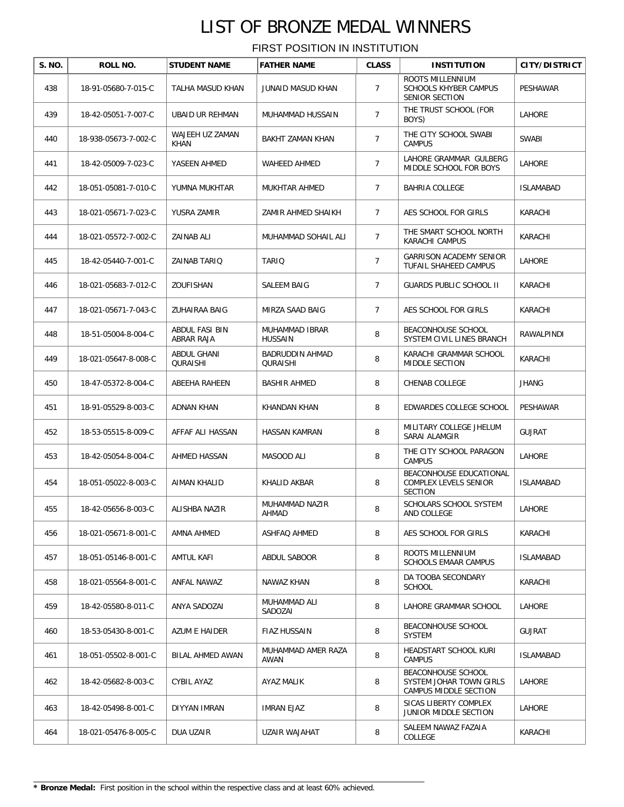| S. NO. | ROLL NO.             | <b>STUDENT NAME</b>            | <b>FATHER NAME</b>               | <b>CLASS</b>   | <b>INSTITUTION</b>                                                     | <b>CITY/DISTRICT</b> |
|--------|----------------------|--------------------------------|----------------------------------|----------------|------------------------------------------------------------------------|----------------------|
| 438    | 18-91-05680-7-015-C  | TALHA MASUD KHAN               | <b>JUNAID MASUD KHAN</b>         | $\overline{7}$ | ROOTS MILLENNIUM<br><b>SCHOOLS KHYBER CAMPUS</b><br>SENIOR SECTION     | <b>PESHAWAR</b>      |
| 439    | 18-42-05051-7-007-C  | <b>UBAID UR REHMAN</b>         | MUHAMMAD HUSSAIN                 | $\overline{7}$ | THE TRUST SCHOOL (FOR<br>BOYS)                                         | <b>LAHORE</b>        |
| 440    | 18-938-05673-7-002-C | WAJEEH UZ ZAMAN<br>KHAN        | BAKHT ZAMAN KHAN                 | $\overline{7}$ | THE CITY SCHOOL SWABI<br><b>CAMPUS</b>                                 | SWABI                |
| 441    | 18-42-05009-7-023-C  | YASEEN AHMED                   | WAHEED AHMED                     | $\overline{7}$ | LAHORE GRAMMAR GULBERG<br>MIDDLE SCHOOL FOR BOYS                       | LAHORE               |
| 442    | 18-051-05081-7-010-C | YUMNA MUKHTAR                  | MUKHTAR AHMED                    | $\overline{7}$ | <b>BAHRIA COLLEGE</b>                                                  | <b>ISLAMABAD</b>     |
| 443    | 18-021-05671-7-023-C | YUSRA ZAMIR                    | ZAMIR AHMED SHAIKH               | $\overline{7}$ | AES SCHOOL FOR GIRLS                                                   | KARACHI              |
| 444    | 18-021-05572-7-002-C | ZAINAB ALI                     | MUHAMMAD SOHAIL ALI              | $\overline{7}$ | THE SMART SCHOOL NORTH<br>KARACHI CAMPUS                               | KARACHI              |
| 445    | 18-42-05440-7-001-C  | ZAINAB TARIQ                   | TARIO                            | $\overline{7}$ | GARRISON ACADEMY SENIOR<br>TUFAIL SHAHEED CAMPUS                       | LAHORE               |
| 446    | 18-021-05683-7-012-C | ZOUFISHAN                      | SALEEM BAIG                      | $\overline{7}$ | <b>GUARDS PUBLIC SCHOOL II</b>                                         | KARACHI              |
| 447    | 18-021-05671-7-043-C | ZUHAIRAA BAIG                  | MIRZA SAAD BAIG                  | $\overline{7}$ | AES SCHOOL FOR GIRLS                                                   | KARACHI              |
| 448    | 18-51-05004-8-004-C  | ABDUL FASI BIN<br>ABRAR RAJA   | MUHAMMAD IBRAR<br><b>HUSSAIN</b> | 8              | BEACONHOUSE SCHOOL<br>SYSTEM CIVIL LINES BRANCH                        | RAWALPINDI           |
| 449    | 18-021-05647-8-008-C | ABDUL GHANI<br><b>QURAISHI</b> | BADRUDDIN AHMAD<br>QURAISHI      | 8              | KARACHI GRAMMAR SCHOOL<br>MIDDLE SECTION                               | KARACHI              |
| 450    | 18-47-05372-8-004-C  | ABEEHA RAHEEN                  | <b>BASHIR AHMED</b>              | 8              | CHENAB COLLEGE                                                         | <b>JHANG</b>         |
| 451    | 18-91-05529-8-003-C  | <b>ADNAN KHAN</b>              | KHANDAN KHAN                     | 8              | EDWARDES COLLEGE SCHOOL                                                | PESHAWAR             |
| 452    | 18-53-05515-8-009-C  | AFFAF ALI HASSAN               | HASSAN KAMRAN                    | 8              | MILITARY COLLEGE JHELUM<br>SARAI ALAMGIR                               | <b>GUJRAT</b>        |
| 453    | 18-42-05054-8-004-C  | <b>AHMED HASSAN</b>            | MASOOD ALI                       | 8              | THE CITY SCHOOL PARAGON<br><b>CAMPUS</b>                               | LAHORE               |
| 454    | 18-051-05022-8-003-C | AIMAN KHALID                   | KHALID AKBAR                     | 8              | BEACONHOUSE EDUCATIONAL<br>COMPLEX LEVELS SENIOR<br><b>SECTION</b>     | <b>ISLAMABAD</b>     |
| 455    | 18-42-05656-8-003-C  | ALISHBA NAZIR                  | MUHAMMAD NAZIR<br>AHMAD          | 8              | SCHOLARS SCHOOL SYSTEM<br>AND COLLEGE                                  | LAHORE               |
| 456    | 18-021-05671-8-001-C | AMNA AHMED                     | ASHFAQ AHMED                     | 8              | AES SCHOOL FOR GIRLS                                                   | KARACHI              |
| 457    | 18-051-05146-8-001-C | AMTUL KAFI                     | ABDUL SABOOR                     | 8              | ROOTS MILLENNIUM<br><b>SCHOOLS EMAAR CAMPUS</b>                        | <b>ISLAMABAD</b>     |
| 458    | 18-021-05564-8-001-C | ANFAL NAWAZ                    | NAWAZ KHAN                       | 8              | DA TOOBA SECONDARY<br><b>SCHOOL</b>                                    | KARACHI              |
| 459    | 18-42-05580-8-011-C  | ANYA SADOZAI                   | MUHAMMAD ALI<br>SADOZAI          | 8              | LAHORE GRAMMAR SCHOOL                                                  | LAHORE               |
| 460    | 18-53-05430-8-001-C  | AZUM E HAIDER                  | FIAZ HUSSAIN                     | 8              | BEACONHOUSE SCHOOL<br><b>SYSTEM</b>                                    | GUJRAT               |
| 461    | 18-051-05502-8-001-C | BILAL AHMED AWAN               | MUHAMMAD AMER RAZA<br>AWAN       | 8              | HEADSTART SCHOOL KURI<br>CAMPUS                                        | ISLAMABAD            |
| 462    | 18-42-05682-8-003-C  | CYBIL AYAZ                     | AYAZ MALIK                       | 8              | BEACONHOUSE SCHOOL<br>SYSTEM JOHAR TOWN GIRLS<br>CAMPUS MIDDLE SECTION | LAHORE               |
| 463    | 18-42-05498-8-001-C  | DIYYAN IMRAN                   | IMRAN EJAZ                       | 8              | SICAS LIBERTY COMPLEX<br>JUNIOR MIDDLE SECTION                         | LAHORE               |
| 464    | 18-021-05476-8-005-C | DUA UZAIR                      | UZAIR WAJAHAT                    | 8              | SALEEM NAWAZ FAZAIA<br>COLLEGE                                         | KARACHI              |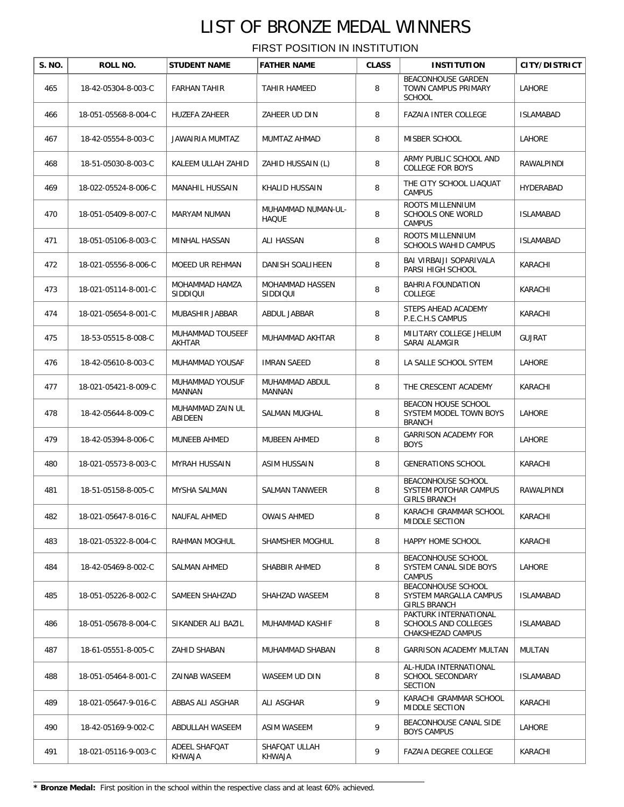| S. NO. | ROLL NO.             | <b>STUDENT NAME</b>         | <b>FATHER NAME</b>                 | <b>CLASS</b> | <b>INSTITUTION</b>                                                  | <b>CITY/DISTRICT</b> |
|--------|----------------------|-----------------------------|------------------------------------|--------------|---------------------------------------------------------------------|----------------------|
| 465    | 18-42-05304-8-003-C  | <b>FARHAN TAHIR</b>         | TAHIR HAMEED                       | 8            | <b>BEACONHOUSE GARDEN</b><br>TOWN CAMPUS PRIMARY<br><b>SCHOOL</b>   | LAHORE               |
| 466    | 18-051-05568-8-004-C | HUZEFA ZAHEER               | ZAHEER UD DIN                      | 8            | FAZAIA INTER COLLEGE                                                | <b>ISLAMABAD</b>     |
| 467    | 18-42-05554-8-003-C  | JAWAIRIA MUMTAZ             | MUMTAZ AHMAD                       | 8            | MISBER SCHOOL                                                       | LAHORE               |
| 468    | 18-51-05030-8-003-C  | KALEEM ULLAH ZAHID          | ZAHID HUSSAIN (L)                  | 8            | ARMY PUBLIC SCHOOL AND<br><b>COLLEGE FOR BOYS</b>                   | RAWALPINDI           |
| 469    | 18-022-05524-8-006-C | MANAHIL HUSSAIN             | KHALID HUSSAIN                     | 8            | THE CITY SCHOOL LIAQUAT<br><b>CAMPUS</b>                            | HYDERABAD            |
| 470    | 18-051-05409-8-007-C | MARYAM NUMAN                | MUHAMMAD NUMAN-UL-<br><b>HAQUE</b> | 8            | ROOTS MILLENNIUM<br>SCHOOLS ONE WORLD<br><b>CAMPUS</b>              | <b>ISLAMABAD</b>     |
| 471    | 18-051-05106-8-003-C | MINHAL HASSAN               | ALI HASSAN                         | 8            | ROOTS MILLENNIUM<br>SCHOOLS WAHID CAMPUS                            | <b>ISLAMABAD</b>     |
| 472    | 18-021-05556-8-006-C | <b>MOEED UR REHMAN</b>      | DANISH SOALIHEEN                   | 8            | BAI VIRBAIJI SOPARIVALA<br>PARSI HIGH SCHOOL                        | KARACHI              |
| 473    | 18-021-05114-8-001-C | MOHAMMAD HAMZA<br>SIDDIQUI  | MOHAMMAD HASSEN<br>SIDDIQUI        | 8            | BAHRIA FOUNDATION<br>COLLEGE                                        | KARACHI              |
| 474    | 18-021-05654-8-001-C | MUBASHIR JABBAR             | ABDUL JABBAR                       | 8            | STEPS AHEAD ACADEMY<br>P.E.C.H.S CAMPUS                             | KARACHI              |
| 475    | 18-53-05515-8-008-C  | MUHAMMAD TOUSEEF<br>AKHTAR  | MUHAMMAD AKHTAR                    | 8            | MILITARY COLLEGE JHELUM<br>SARAI ALAMGIR                            | <b>GUJRAT</b>        |
| 476    | 18-42-05610-8-003-C  | MUHAMMAD YOUSAF             | <b>IMRAN SAEED</b>                 | 8            | LA SALLE SCHOOL SYTEM                                               | LAHORE               |
| 477    | 18-021-05421-8-009-C | MUHAMMAD YOUSUF<br>MANNAN   | MUHAMMAD ABDUL<br>MANNAN           | 8            | THE CRESCENT ACADEMY                                                | KARACHI              |
| 478    | 18-42-05644-8-009-C  | MUHAMMAD ZAIN UL<br>ABIDEEN | SALMAN MUGHAL                      | 8            | BEACON HOUSE SCHOOL<br>SYSTEM MODEL TOWN BOYS<br><b>BRANCH</b>      | LAHORE               |
| 479    | 18-42-05394-8-006-C  | MUNEEB AHMED                | MUBEEN AHMED                       | 8            | <b>GARRISON ACADEMY FOR</b><br><b>BOYS</b>                          | LAHORE               |
| 480    | 18-021-05573-8-003-C | MYRAH HUSSAIN               | ASIM HUSSAIN                       | 8            | <b>GENERATIONS SCHOOL</b>                                           | KARACHI              |
| 481    | 18-51-05158-8-005-C  | MYSHA SALMAN                | SALMAN TANWEER                     | 8            | <b>BEACONHOUSE SCHOOL</b><br>SYSTEM POTOHAR CAMPUS<br>GIRLS BRANCH  | RAWALPINDI           |
| 482    | 18-021-05647-8-016-C | NAUFAL AHMED                | <b>OWAIS AHMED</b>                 | 8            | KARACHI GRAMMAR SCHOOL<br>MIDDLE SECTION                            | KARACHI              |
| 483    | 18-021-05322-8-004-C | RAHMAN MOGHUL               | SHAMSHER MOGHUL                    | 8            | HAPPY HOME SCHOOL                                                   | KARACHI              |
| 484    | 18-42-05469-8-002-C  | SALMAN AHMED                | SHABBIR AHMED                      | 8            | BEACONHOUSE SCHOOL<br>SYSTEM CANAL SIDE BOYS<br><b>CAMPUS</b>       | LAHORE               |
| 485    | 18-051-05226-8-002-C | SAMEEN SHAHZAD              | SHAHZAD WASEEM                     | 8            | BEACONHOUSE SCHOOL<br>SYSTEM MARGALLA CAMPUS<br><b>GIRLS BRANCH</b> | ISLAMABAD            |
| 486    | 18-051-05678-8-004-C | SIKANDER ALI BAZIL          | MUHAMMAD KASHIF                    | 8            | PAKTURK INTERNATIONAL<br>SCHOOLS AND COLLEGES<br>CHAKSHEZAD CAMPUS  | <b>ISLAMABAD</b>     |
| 487    | 18-61-05551-8-005-C  | ZAHID SHABAN                | MUHAMMAD SHABAN                    | 8            | GARRISON ACADEMY MULTAN                                             | <b>MULTAN</b>        |
| 488    | 18-051-05464-8-001-C | ZAINAB WASEEM               | WASEEM UD DIN                      | 8            | AL-HUDA INTERNATIONAL<br>SCHOOL SECONDARY<br><b>SECTION</b>         | ISLAMABAD            |
| 489    | 18-021-05647-9-016-C | ABBAS ALI ASGHAR            | ALI ASGHAR                         | 9            | KARACHI GRAMMAR SCHOOL<br>MIDDLE SECTION                            | KARACHI              |
| 490    | 18-42-05169-9-002-C  | ABDULLAH WASEEM             | ASIM WASEEM                        | 9            | BEACONHOUSE CANAL SIDE<br><b>BOYS CAMPUS</b>                        | LAHORE               |
| 491    | 18-021-05116-9-003-C | ADEEL SHAFQAT<br>KHWAJA     | SHAFQAT ULLAH<br>KHWAJA            | 9            | FAZAIA DEGREE COLLEGE                                               | KARACHI              |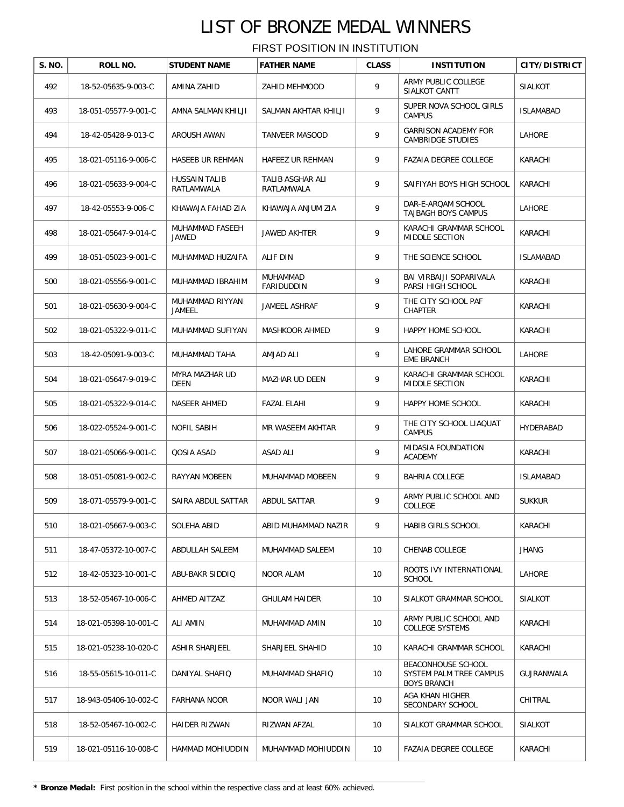| S. NO. | ROLL NO.              | <b>STUDENT NAME</b>                | <b>FATHER NAME</b>             | <b>CLASS</b> | <b>INSTITUTION</b>                                                  | <b>CITY/DISTRICT</b> |
|--------|-----------------------|------------------------------------|--------------------------------|--------------|---------------------------------------------------------------------|----------------------|
| 492    | 18-52-05635-9-003-C   | AMINA ZAHID                        | ZAHID MEHMOOD                  | 9            | ARMY PUBLIC COLLEGE<br>SIALKOT CANTT                                | <b>SIALKOT</b>       |
| 493    | 18-051-05577-9-001-C  | AMNA SALMAN KHILJI                 | SALMAN AKHTAR KHILJI           | 9            | SUPER NOVA SCHOOL GIRLS<br><b>CAMPUS</b>                            | <b>ISLAMABAD</b>     |
| 494    | 18-42-05428-9-013-C   | AROUSH AWAN                        | <b>TANVEER MASOOD</b>          | 9            | <b>GARRISON ACADEMY FOR</b><br><b>CAMBRIDGE STUDIES</b>             | LAHORE               |
| 495    | 18-021-05116-9-006-C  | <b>HASEEB UR REHMAN</b>            | HAFEEZ UR REHMAN               | 9            | <b>FAZAIA DEGREE COLLEGE</b>                                        | KARACHI              |
| 496    | 18-021-05633-9-004-C  | <b>HUSSAIN TALIB</b><br>RATLAMWALA | TALIB ASGHAR ALI<br>RATLAMWALA | 9            | SAIFIYAH BOYS HIGH SCHOOL                                           | KARACHI              |
| 497    | 18-42-05553-9-006-C   | KHAWAJA FAHAD ZIA                  | KHAWAJA ANJUM ZIA              | 9            | DAR-E-ARQAM SCHOOL<br><b>TAJBAGH BOYS CAMPUS</b>                    | LAHORE               |
| 498    | 18-021-05647-9-014-C  | MUHAMMAD FASEEH<br>JAWED           | <b>JAWED AKHTER</b>            | 9            | KARACHI GRAMMAR SCHOOL<br>MIDDLE SECTION                            | KARACHI              |
| 499    | 18-051-05023-9-001-C  | MUHAMMAD HUZAIFA                   | ALIF DIN                       | 9            | THE SCIENCE SCHOOL                                                  | <b>ISLAMABAD</b>     |
| 500    | 18-021-05556-9-001-C  | MUHAMMAD IBRAHIM                   | <b>MUHAMMAD</b><br>FARIDUDDIN  | 9            | BAI VIRBAIJI SOPARIVALA<br>PARSI HIGH SCHOOL                        | KARACHI              |
| 501    | 18-021-05630-9-004-C  | MUHAMMAD RIYYAN<br>JAMEEL          | <b>JAMEEL ASHRAF</b>           | 9            | THE CITY SCHOOL PAF<br><b>CHAPTER</b>                               | KARACHI              |
| 502    | 18-021-05322-9-011-C  | MUHAMMAD SUFIYAN                   | MASHKOOR AHMED                 | 9            | HAPPY HOME SCHOOL                                                   | KARACHI              |
| 503    | 18-42-05091-9-003-C   | MUHAMMAD TAHA                      | AMJAD ALI                      | 9            | LAHORE GRAMMAR SCHOOL<br><b>EME BRANCH</b>                          | LAHORE               |
| 504    | 18-021-05647-9-019-C  | MYRA MAZHAR UD<br>DEEN             | MAZHAR UD DEEN                 | 9            | KARACHI GRAMMAR SCHOOL<br>MIDDLE SECTION                            | KARACHI              |
| 505    | 18-021-05322-9-014-C  | NASEER AHMED                       | <b>FAZAL ELAHI</b>             | 9            | HAPPY HOME SCHOOL                                                   | KARACHI              |
| 506    | 18-022-05524-9-001-C  | NOFIL SABIH                        | MR WASEEM AKHTAR               | 9            | THE CITY SCHOOL LIAQUAT<br><b>CAMPUS</b>                            | HYDERABAD            |
| 507    | 18-021-05066-9-001-C  | QOSIA ASAD                         | <b>ASAD ALI</b>                | 9            | MIDASIA FOUNDATION<br><b>ACADEMY</b>                                | KARACHI              |
| 508    | 18-051-05081-9-002-C  | RAYYAN MOBEEN                      | MUHAMMAD MOBEEN                | 9            | <b>BAHRIA COLLEGE</b>                                               | <b>ISLAMABAD</b>     |
| 509    | 18-071-05579-9-001-C  | SAIRA ABDUL SATTAR                 | ABDUL SATTAR                   | 9            | ARMY PUBLIC SCHOOL AND<br>COLLEGE                                   | <b>SUKKUR</b>        |
| 510    | 18-021-05667-9-003-C  | SOLEHA ABID                        | ABID MUHAMMAD NAZIR            | 9            | HABIB GIRLS SCHOOL                                                  | KARACHI              |
| 511    | 18-47-05372-10-007-C  | ABDULLAH SALEEM                    | MUHAMMAD SALEEM                | 10           | CHENAB COLLEGE                                                      | <b>JHANG</b>         |
| 512    | 18-42-05323-10-001-C  | ABU-BAKR SIDDIQ                    | NOOR ALAM                      | 10           | ROOTS IVY INTERNATIONAL<br><b>SCHOOL</b>                            | LAHORE               |
| 513    | 18-52-05467-10-006-C  | AHMED AITZAZ                       | <b>GHULAM HAIDER</b>           | 10           | SIALKOT GRAMMAR SCHOOL                                              | <b>SIALKOT</b>       |
| 514    | 18-021-05398-10-001-C | ALI AMIN                           | MUHAMMAD AMIN                  | 10           | ARMY PUBLIC SCHOOL AND<br><b>COLLEGE SYSTEMS</b>                    | KARACHI              |
| 515    | 18-021-05238-10-020-C | ASHIR SHARJEEL                     | SHARJEEL SHAHID                | 10           | KARACHI GRAMMAR SCHOOL                                              | KARACHI              |
| 516    | 18-55-05615-10-011-C  | DANIYAL SHAFIQ                     | MUHAMMAD SHAFIQ                | 10           | BEACONHOUSE SCHOOL<br>SYSTEM PALM TREE CAMPUS<br><b>BOYS BRANCH</b> | GUJRANWALA           |
| 517    | 18-943-05406-10-002-C | <b>FARHANA NOOR</b>                | NOOR WALL JAN                  | 10           | AGA KHAN HIGHER<br>SECONDARY SCHOOL                                 | CHITRAL              |
| 518    | 18-52-05467-10-002-C  | HAIDER RIZWAN                      | RIZWAN AFZAL                   | 10           | SIALKOT GRAMMAR SCHOOL                                              | <b>SIALKOT</b>       |
| 519    | 18-021-05116-10-008-C | HAMMAD MOHIUDDIN                   | MUHAMMAD MOHIUDDIN             | 10           | FAZAIA DEGREE COLLEGE                                               | KARACHI              |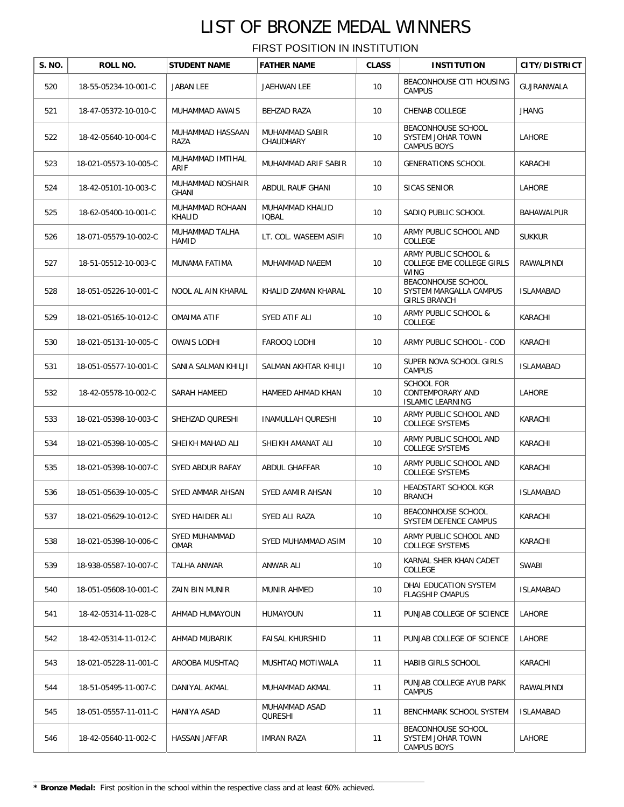| S. NO. | ROLL NO.              | <b>STUDENT NAME</b>              | <b>FATHER NAME</b>              | <b>CLASS</b> | <b>INSTITUTION</b>                                                  | <b>CITY/DISTRICT</b> |
|--------|-----------------------|----------------------------------|---------------------------------|--------------|---------------------------------------------------------------------|----------------------|
| 520    | 18-55-05234-10-001-C  | <b>JABAN LEE</b>                 | JAEHWAN LEE                     | 10           | <b>BEACONHOUSE CITI HOUSING</b><br><b>CAMPUS</b>                    | GUJRANWALA           |
| 521    | 18-47-05372-10-010-C  | MUHAMMAD AWAIS                   | <b>BEHZAD RAZA</b>              | 10           | <b>CHENAB COLLEGE</b>                                               | <b>JHANG</b>         |
| 522    | 18-42-05640-10-004-C  | MUHAMMAD HASSAAN<br>RAZA         | MUHAMMAD SABIR<br>CHAUDHARY     | 10           | BEACONHOUSE SCHOOL<br>SYSTEM JOHAR TOWN<br><b>CAMPUS BOYS</b>       | LAHORE               |
| 523    | 18-021-05573-10-005-C | MUHAMMAD IMTIHAL<br>ARIF         | MUHAMMAD ARIF SABIR             | 10           | <b>GENERATIONS SCHOOL</b>                                           | KARACHI              |
| 524    | 18-42-05101-10-003-C  | MUHAMMAD NOSHAIR<br>GHANI        | ABDUL RAUF GHANI                | 10           | <b>SICAS SENIOR</b>                                                 | LAHORE               |
| 525    | 18-62-05400-10-001-C  | MUHAMMAD ROHAAN<br><b>KHALID</b> | MUHAMMAD KHALID<br><b>IOBAL</b> | 10           | SADIQ PUBLIC SCHOOL                                                 | <b>BAHAWALPUR</b>    |
| 526    | 18-071-05579-10-002-C | MUHAMMAD TALHA<br><b>HAMID</b>   | LT. COL. WASEEM ASIFI           | 10           | ARMY PUBLIC SCHOOL AND<br>COLLEGE                                   | <b>SUKKUR</b>        |
| 527    | 18-51-05512-10-003-C  | MUNAMA FATIMA                    | MUHAMMAD NAEEM                  | 10           | ARMY PUBLIC SCHOOL &<br>COLLEGE EME COLLEGE GIRLS<br><b>WING</b>    | RAWALPINDI           |
| 528    | 18-051-05226-10-001-C | NOOL AL AIN KHARAL               | KHALID ZAMAN KHARAL             | 10           | BEACONHOUSE SCHOOL<br>SYSTEM MARGALLA CAMPUS<br><b>GIRLS BRANCH</b> | <b>ISLAMABAD</b>     |
| 529    | 18-021-05165-10-012-C | <b>OMAIMA ATIF</b>               | SYED ATIF ALI                   | 10           | ARMY PUBLIC SCHOOL &<br>COLLEGE                                     | KARACHI              |
| 530    | 18-021-05131-10-005-C | <b>OWAIS LODHI</b>               | FAROOQ LODHI                    | 10           | ARMY PUBLIC SCHOOL - COD                                            | KARACHI              |
| 531    | 18-051-05577-10-001-C | SANIA SALMAN KHILJI              | SALMAN AKHTAR KHILJI            | 10           | SUPER NOVA SCHOOL GIRLS<br><b>CAMPUS</b>                            | <b>ISLAMABAD</b>     |
| 532    | 18-42-05578-10-002-C  | SARAH HAMEED                     | HAMEED AHMAD KHAN               | 10           | <b>SCHOOL FOR</b><br>CONTEMPORARY AND<br><b>ISLAMIC LEARNING</b>    | LAHORE               |
| 533    | 18-021-05398-10-003-C | SHEHZAD QURESHI                  | INAMULLAH QURESHI               | 10           | ARMY PUBLIC SCHOOL AND<br><b>COLLEGE SYSTEMS</b>                    | KARACHI              |
| 534    | 18-021-05398-10-005-C | SHEIKH MAHAD ALI                 | SHEIKH AMANAT ALI               | 10           | ARMY PUBLIC SCHOOL AND<br><b>COLLEGE SYSTEMS</b>                    | KARACHI              |
| 535    | 18-021-05398-10-007-C | SYED ABDUR RAFAY                 | ABDUL GHAFFAR                   | 10           | ARMY PUBLIC SCHOOL AND<br><b>COLLEGE SYSTEMS</b>                    | KARACHI              |
| 536    | 18-051-05639-10-005-C | SYED AMMAR AHSAN                 | SYED AAMIR AHSAN                | 10           | HEADSTART SCHOOL KGR<br><b>BRANCH</b>                               | <b>ISLAMABAD</b>     |
| 537    | 18-021-05629-10-012-C | <b>SYED HAIDER ALI</b>           | SYED ALI RAZA                   | 10           | BEACONHOUSE SCHOOL<br>SYSTEM DEFENCE CAMPUS                         | KARACHI              |
| 538    | 18-021-05398-10-006-C | SYED MUHAMMAD<br><b>OMAR</b>     | SYED MUHAMMAD ASIM              | 10           | ARMY PUBLIC SCHOOL AND<br><b>COLLEGE SYSTEMS</b>                    | KARACHI              |
| 539    | 18-938-05587-10-007-C | TALHA ANWAR                      | ANWAR ALI                       | 10           | KARNAL SHER KHAN CADET<br>COLLEGE                                   | SWABI                |
| 540    | 18-051-05608-10-001-C | ZAIN BIN MUNIR                   | MUNIR AHMED                     | 10           | DHAI EDUCATION SYSTEM<br><b>FLAGSHIP CMAPUS</b>                     | <b>ISLAMABAD</b>     |
| 541    | 18-42-05314-11-028-C  | AHMAD HUMAYOUN                   | <b>HUMAYOUN</b>                 | 11           | PUNJAB COLLEGE OF SCIENCE                                           | LAHORE               |
| 542    | 18-42-05314-11-012-C  | AHMAD MUBARIK                    | <b>FAISAL KHURSHID</b>          | 11           | PUNJAB COLLEGE OF SCIENCE                                           | LAHORE               |
| 543    | 18-021-05228-11-001-C | AROOBA MUSHTAQ                   | MUSHTAQ MOTIWALA                | 11           | HABIB GIRLS SCHOOL                                                  | KARACHI              |
| 544    | 18-51-05495-11-007-C  | DANIYAL AKMAL                    | MUHAMMAD AKMAL                  | 11           | PUNJAB COLLEGE AYUB PARK<br><b>CAMPUS</b>                           | RAWALPINDI           |
| 545    | 18-051-05557-11-011-C | HANIYA ASAD                      | MUHAMMAD ASAD<br>QURESHI        | 11           | BENCHMARK SCHOOL SYSTEM                                             | <b>ISLAMABAD</b>     |
| 546    | 18-42-05640-11-002-C  | HASSAN JAFFAR                    | <b>IMRAN RAZA</b>               | 11           | BEACONHOUSE SCHOOL<br>SYSTEM JOHAR TOWN<br><b>CAMPUS BOYS</b>       | LAHORE               |